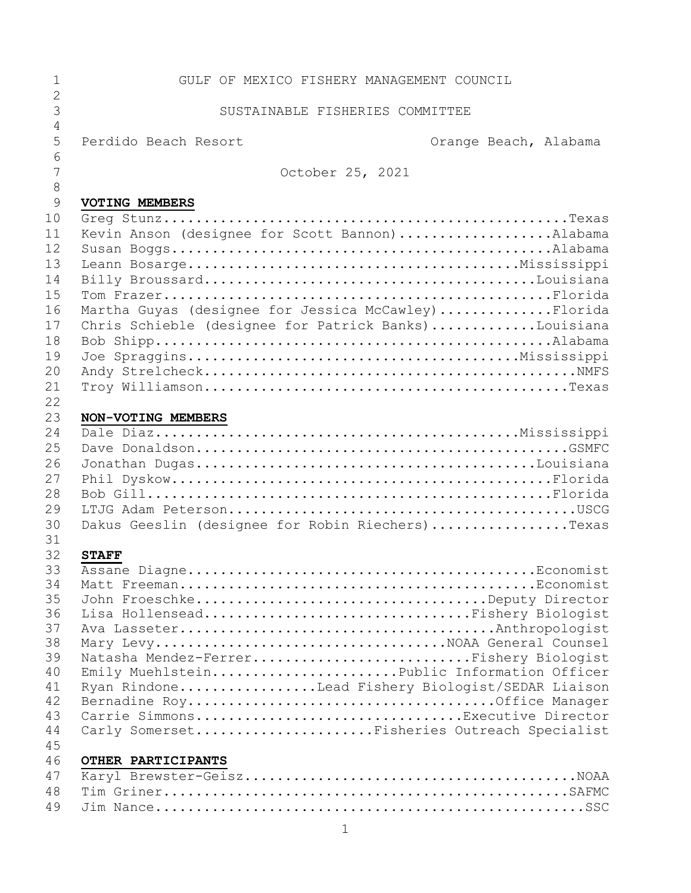| 1                   | GULF OF MEXICO FISHERY MANAGEMENT COUNCIL            |  |                       |
|---------------------|------------------------------------------------------|--|-----------------------|
| $\overline{2}$      |                                                      |  |                       |
| 3<br>$\overline{4}$ | SUSTAINABLE FISHERIES COMMITTEE                      |  |                       |
| 5                   | Perdido Beach Resort                                 |  | Orange Beach, Alabama |
| 6                   |                                                      |  |                       |
| 7                   | October 25, 2021                                     |  |                       |
| 8                   |                                                      |  |                       |
| 9                   | VOTING MEMBERS                                       |  |                       |
| 10                  |                                                      |  |                       |
| 11                  | Kevin Anson (designee for Scott Bannon)Alabama       |  |                       |
| 12                  |                                                      |  |                       |
| 13                  |                                                      |  |                       |
| 14                  |                                                      |  |                       |
| 15                  |                                                      |  |                       |
| 16                  | Martha Guyas (designee for Jessica McCawley)Florida  |  |                       |
| 17                  | Chris Schieble (designee for Patrick Banks)Louisiana |  |                       |
| 18                  |                                                      |  |                       |
| 19                  |                                                      |  |                       |
| 20                  |                                                      |  |                       |
| 21<br>22            |                                                      |  |                       |
| 23                  | NON-VOTING MEMBERS                                   |  |                       |
| 24                  |                                                      |  |                       |
| 25                  |                                                      |  |                       |
| 26                  |                                                      |  |                       |
| 27                  |                                                      |  |                       |
| 28                  |                                                      |  |                       |
| 29                  |                                                      |  |                       |
| 30                  | Dakus Geeslin (designee for Robin Riechers)Texas     |  |                       |
| 31                  |                                                      |  |                       |
| 32                  | <b>STAFF</b>                                         |  |                       |
| 33                  |                                                      |  |                       |
| 34                  |                                                      |  |                       |
| 35                  |                                                      |  |                       |
| 36<br>37            | Lisa HollenseadFishery Biologist                     |  |                       |
| 38                  |                                                      |  |                       |
| 39                  | Natasha Mendez-FerrerFishery Biologist               |  |                       |
| 40                  | Emily MuehlsteinPublic Information Officer           |  |                       |
| 41                  | Ryan RindoneLead Fishery Biologist/SEDAR Liaison     |  |                       |
| 42                  |                                                      |  |                       |
| 43                  | Carrie SimmonsExecutive Director                     |  |                       |
| 44                  | Carly SomersetFisheries Outreach Specialist          |  |                       |
| 45                  |                                                      |  |                       |
| 46                  | OTHER PARTICIPANTS                                   |  |                       |
| 47                  |                                                      |  |                       |
| 48                  |                                                      |  |                       |
| 49                  |                                                      |  |                       |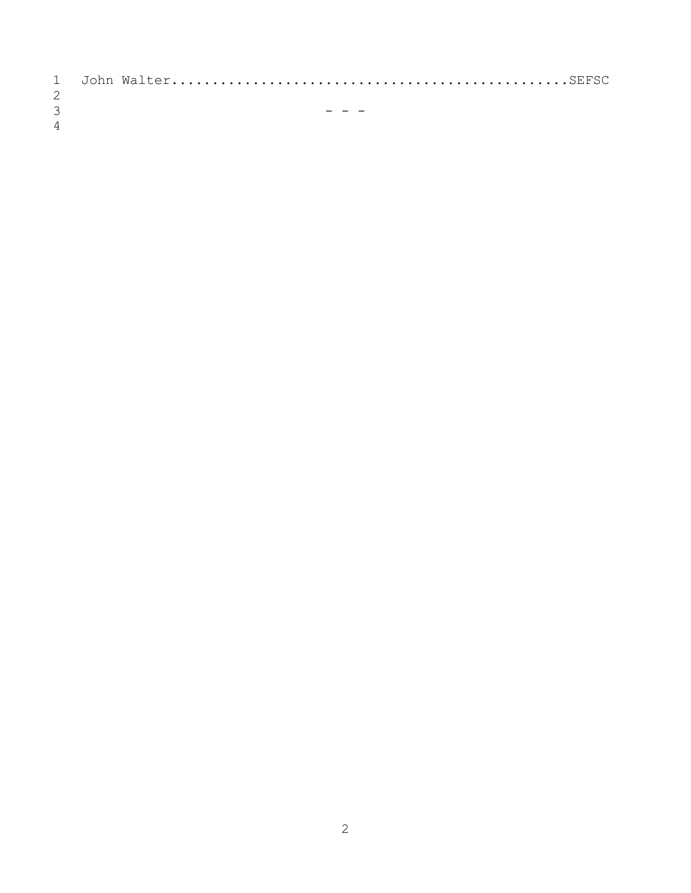| 3              |  |
|----------------|--|
| $\overline{4}$ |  |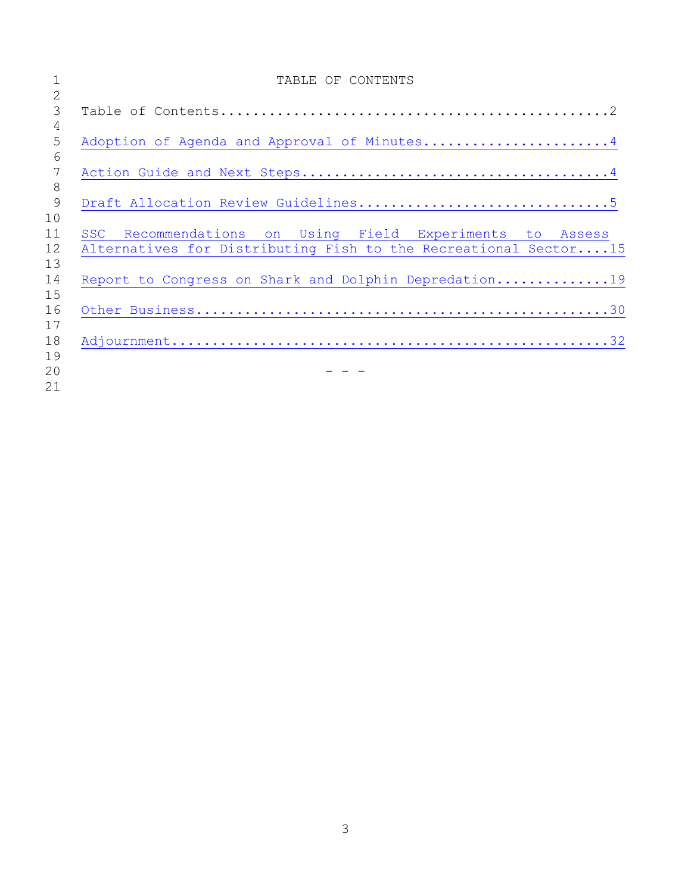|                 | TABLE OF CONTENTS                                               |
|-----------------|-----------------------------------------------------------------|
| $\overline{2}$  |                                                                 |
| 3               |                                                                 |
| 4               |                                                                 |
| 5               | Adoption of Agenda and Approval of Minutes4                     |
| 6               |                                                                 |
| $7\phantom{.0}$ |                                                                 |
| 8               |                                                                 |
| 9               |                                                                 |
| 10              |                                                                 |
| 11              | SSC Recommendations on Using Field Experiments to Assess        |
| 12              | Alternatives for Distributing Fish to the Recreational Sector15 |
| 13              |                                                                 |
| 14              | Report to Congress on Shark and Dolphin Depredation19           |
| 15              |                                                                 |
| 16              |                                                                 |
| 17              |                                                                 |
| 18              |                                                                 |
| 19              |                                                                 |
| 20              |                                                                 |
| 21              |                                                                 |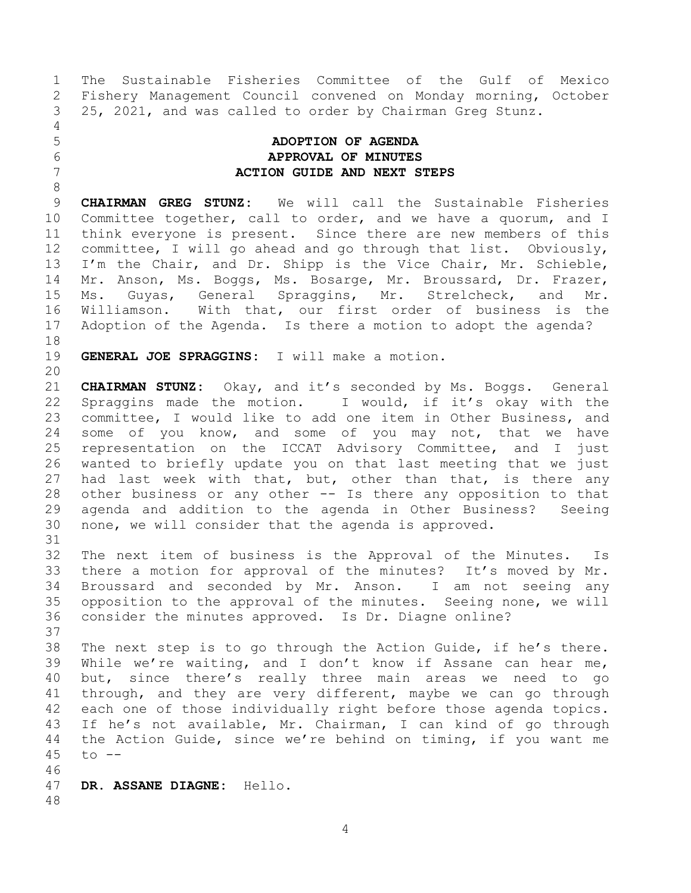The Sustainable Fisheries Committee of the Gulf of Mexico Fishery Management Council convened on Monday morning, October 25, 2021, and was called to order by Chairman Greg Stunz.

<span id="page-3-1"></span>

## <span id="page-3-0"></span> **ADOPTION OF AGENDA APPROVAL OF MINUTES ACTION GUIDE AND NEXT STEPS**

 **CHAIRMAN GREG STUNZ:** We will call the Sustainable Fisheries Committee together, call to order, and we have a quorum, and I think everyone is present. Since there are new members of this committee, I will go ahead and go through that list. Obviously, I'm the Chair, and Dr. Shipp is the Vice Chair, Mr. Schieble, Mr. Anson, Ms. Boggs, Ms. Bosarge, Mr. Broussard, Dr. Frazer, Ms. Guyas, General Spraggins, Mr. Strelcheck, and Mr. Williamson. With that, our first order of business is the Adoption of the Agenda. Is there a motion to adopt the agenda?

**GENERAL JOE SPRAGGINS:** I will make a motion.

 **CHAIRMAN STUNZ:** Okay, and it's seconded by Ms. Boggs. General Spraggins made the motion. I would, if it's okay with the committee, I would like to add one item in Other Business, and 24 some of you know, and some of you may not, that we have representation on the ICCAT Advisory Committee, and I just wanted to briefly update you on that last meeting that we just had last week with that, but, other than that, is there any other business or any other -- Is there any opposition to that agenda and addition to the agenda in Other Business? Seeing none, we will consider that the agenda is approved. 

 The next item of business is the Approval of the Minutes. Is there a motion for approval of the minutes? It's moved by Mr. Broussard and seconded by Mr. Anson. I am not seeing any opposition to the approval of the minutes. Seeing none, we will consider the minutes approved. Is Dr. Diagne online?

 The next step is to go through the Action Guide, if he's there. While we're waiting, and I don't know if Assane can hear me, but, since there's really three main areas we need to go through, and they are very different, maybe we can go through each one of those individually right before those agenda topics. If he's not available, Mr. Chairman, I can kind of go through the Action Guide, since we're behind on timing, if you want me to --

 **DR. ASSANE DIAGNE:** Hello.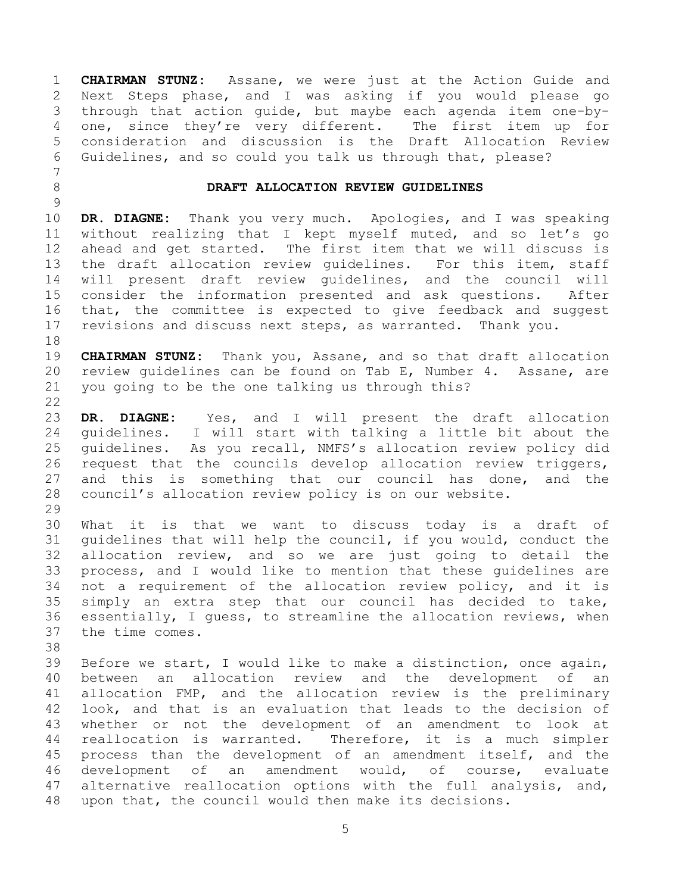**CHAIRMAN STUNZ:** Assane, we were just at the Action Guide and Next Steps phase, and I was asking if you would please go through that action guide, but maybe each agenda item one-by- one, since they're very different. The first item up for consideration and discussion is the Draft Allocation Review Guidelines, and so could you talk us through that, please?

## <span id="page-4-0"></span>**DRAFT ALLOCATION REVIEW GUIDELINES**

 **DR. DIAGNE:** Thank you very much. Apologies, and I was speaking without realizing that I kept myself muted, and so let's go ahead and get started. The first item that we will discuss is the draft allocation review guidelines. For this item, staff will present draft review guidelines, and the council will consider the information presented and ask questions. After that, the committee is expected to give feedback and suggest revisions and discuss next steps, as warranted. Thank you.

 **CHAIRMAN STUNZ:** Thank you, Assane, and so that draft allocation review guidelines can be found on Tab E, Number 4. Assane, are you going to be the one talking us through this? 

 **DR. DIAGNE:** Yes, and I will present the draft allocation guidelines. I will start with talking a little bit about the guidelines. As you recall, NMFS's allocation review policy did request that the councils develop allocation review triggers, and this is something that our council has done, and the council's allocation review policy is on our website.

 What it is that we want to discuss today is a draft of guidelines that will help the council, if you would, conduct the allocation review, and so we are just going to detail the process, and I would like to mention that these guidelines are not a requirement of the allocation review policy, and it is simply an extra step that our council has decided to take, essentially, I guess, to streamline the allocation reviews, when the time comes.

 Before we start, I would like to make a distinction, once again, between an allocation review and the development of an allocation FMP, and the allocation review is the preliminary look, and that is an evaluation that leads to the decision of whether or not the development of an amendment to look at reallocation is warranted. Therefore, it is a much simpler process than the development of an amendment itself, and the development of an amendment would, of course, evaluate alternative reallocation options with the full analysis, and, upon that, the council would then make its decisions.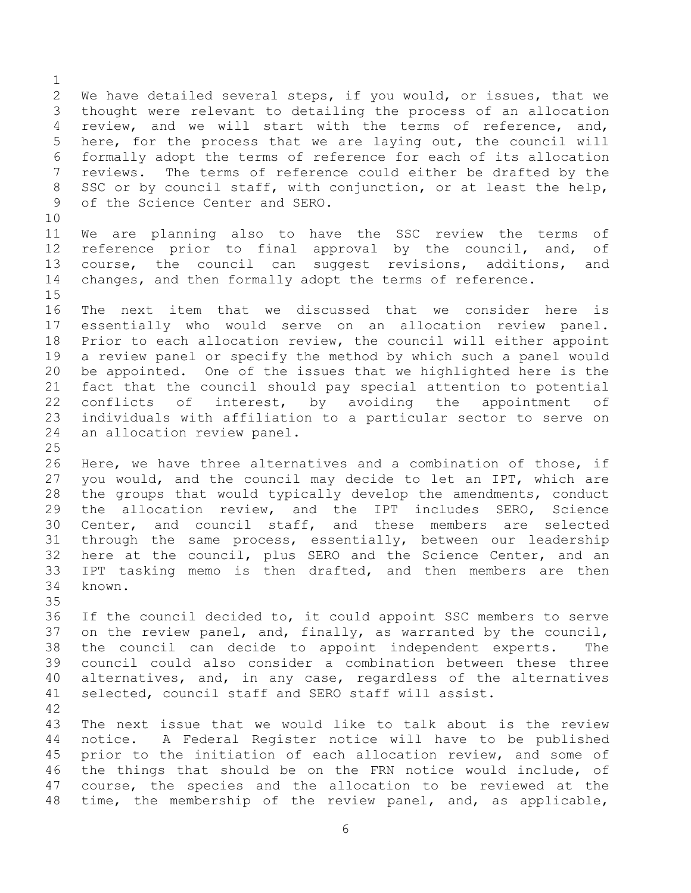We have detailed several steps, if you would, or issues, that we thought were relevant to detailing the process of an allocation review, and we will start with the terms of reference, and, here, for the process that we are laying out, the council will formally adopt the terms of reference for each of its allocation reviews. The terms of reference could either be drafted by the SSC or by council staff, with conjunction, or at least the help, of the Science Center and SERO. We are planning also to have the SSC review the terms of reference prior to final approval by the council, and, of course, the council can suggest revisions, additions, and changes, and then formally adopt the terms of reference. The next item that we discussed that we consider here is essentially who would serve on an allocation review panel. Prior to each allocation review, the council will either appoint a review panel or specify the method by which such a panel would be appointed. One of the issues that we highlighted here is the fact that the council should pay special attention to potential conflicts of interest, by avoiding the appointment of individuals with affiliation to a particular sector to serve on an allocation review panel. Here, we have three alternatives and a combination of those, if you would, and the council may decide to let an IPT, which are the groups that would typically develop the amendments, conduct the allocation review, and the IPT includes SERO, Science Center, and council staff, and these members are selected through the same process, essentially, between our leadership here at the council, plus SERO and the Science Center, and an IPT tasking memo is then drafted, and then members are then known. If the council decided to, it could appoint SSC members to serve on the review panel, and, finally, as warranted by the council, the council can decide to appoint independent experts. The council could also consider a combination between these three

- alternatives, and, in any case, regardless of the alternatives selected, council staff and SERO staff will assist.
- 

 The next issue that we would like to talk about is the review notice. A Federal Register notice will have to be published prior to the initiation of each allocation review, and some of the things that should be on the FRN notice would include, of course, the species and the allocation to be reviewed at the time, the membership of the review panel, and, as applicable,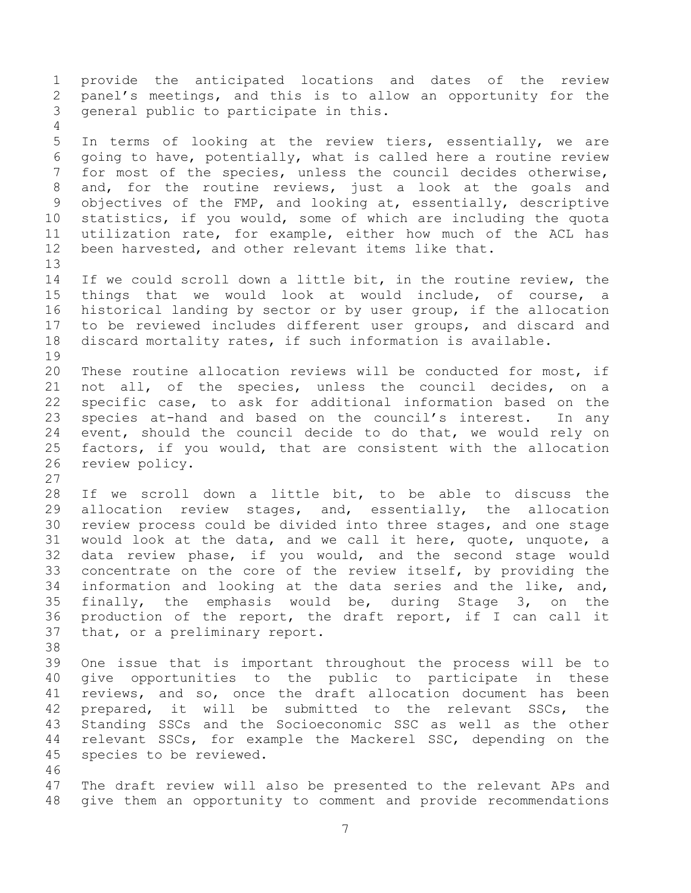provide the anticipated locations and dates of the review panel's meetings, and this is to allow an opportunity for the general public to participate in this. In terms of looking at the review tiers, essentially, we are going to have, potentially, what is called here a routine review for most of the species, unless the council decides otherwise, and, for the routine reviews, just a look at the goals and objectives of the FMP, and looking at, essentially, descriptive statistics, if you would, some of which are including the quota utilization rate, for example, either how much of the ACL has been harvested, and other relevant items like that. If we could scroll down a little bit, in the routine review, the things that we would look at would include, of course, a historical landing by sector or by user group, if the allocation to be reviewed includes different user groups, and discard and discard mortality rates, if such information is available. These routine allocation reviews will be conducted for most, if not all, of the species, unless the council decides, on a specific case, to ask for additional information based on the species at-hand and based on the council's interest. In any event, should the council decide to do that, we would rely on factors, if you would, that are consistent with the allocation review policy. If we scroll down a little bit, to be able to discuss the allocation review stages, and, essentially, the allocation review process could be divided into three stages, and one stage would look at the data, and we call it here, quote, unquote, a data review phase, if you would, and the second stage would concentrate on the core of the review itself, by providing the information and looking at the data series and the like, and, finally, the emphasis would be, during Stage 3, on the production of the report, the draft report, if I can call it that, or a preliminary report. One issue that is important throughout the process will be to give opportunities to the public to participate in these reviews, and so, once the draft allocation document has been prepared, it will be submitted to the relevant SSCs, the Standing SSCs and the Socioeconomic SSC as well as the other relevant SSCs, for example the Mackerel SSC, depending on the species to be reviewed. The draft review will also be presented to the relevant APs and give them an opportunity to comment and provide recommendations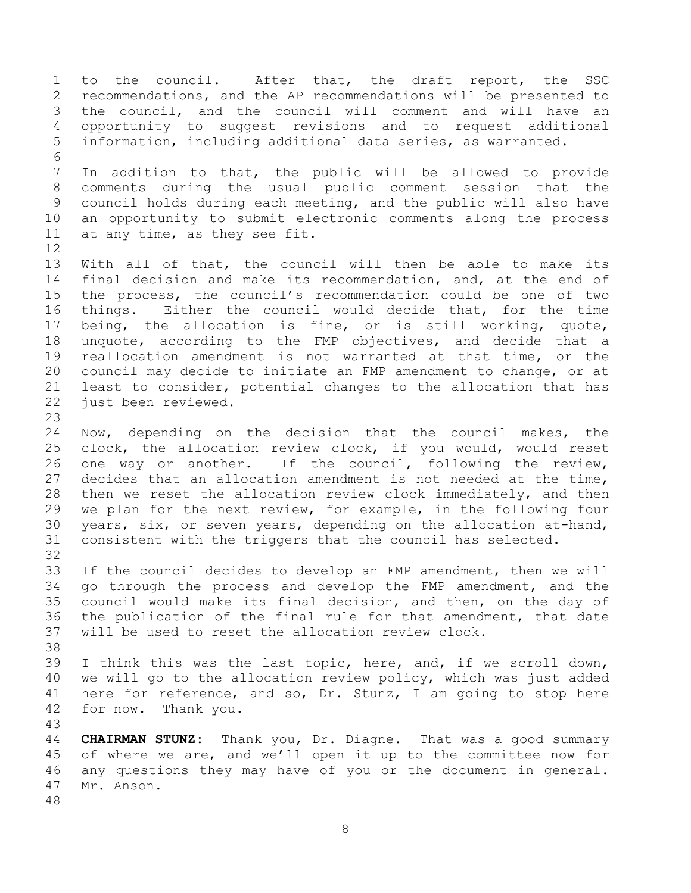to the council. After that, the draft report, the SSC recommendations, and the AP recommendations will be presented to the council, and the council will comment and will have an opportunity to suggest revisions and to request additional information, including additional data series, as warranted. In addition to that, the public will be allowed to provide comments during the usual public comment session that the council holds during each meeting, and the public will also have an opportunity to submit electronic comments along the process at any time, as they see fit. With all of that, the council will then be able to make its final decision and make its recommendation, and, at the end of the process, the council's recommendation could be one of two things. Either the council would decide that, for the time being, the allocation is fine, or is still working, quote, unquote, according to the FMP objectives, and decide that a reallocation amendment is not warranted at that time, or the council may decide to initiate an FMP amendment to change, or at least to consider, potential changes to the allocation that has just been reviewed. Now, depending on the decision that the council makes, the clock, the allocation review clock, if you would, would reset one way or another. If the council, following the review, decides that an allocation amendment is not needed at the time, then we reset the allocation review clock immediately, and then we plan for the next review, for example, in the following four years, six, or seven years, depending on the allocation at-hand, consistent with the triggers that the council has selected. If the council decides to develop an FMP amendment, then we will go through the process and develop the FMP amendment, and the council would make its final decision, and then, on the day of the publication of the final rule for that amendment, that date will be used to reset the allocation review clock. I think this was the last topic, here, and, if we scroll down, we will go to the allocation review policy, which was just added here for reference, and so, Dr. Stunz, I am going to stop here for now. Thank you. **CHAIRMAN STUNZ:** Thank you, Dr. Diagne. That was a good summary of where we are, and we'll open it up to the committee now for any questions they may have of you or the document in general. Mr. Anson.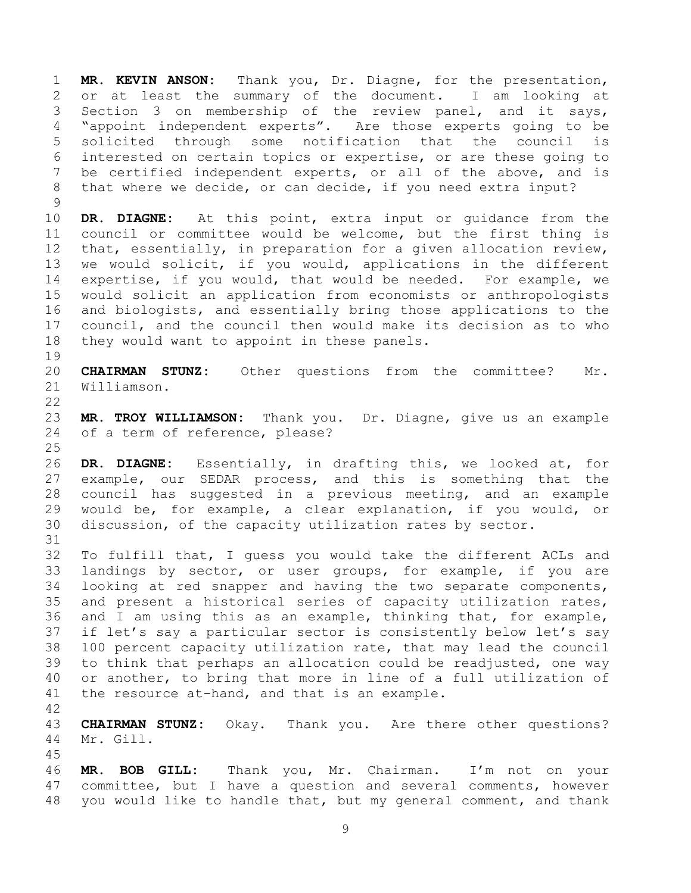**MR. KEVIN ANSON:** Thank you, Dr. Diagne, for the presentation, or at least the summary of the document. I am looking at Section 3 on membership of the review panel, and it says, "appoint independent experts". Are those experts going to be solicited through some notification that the council is interested on certain topics or expertise, or are these going to be certified independent experts, or all of the above, and is that where we decide, or can decide, if you need extra input?

 **DR. DIAGNE:** At this point, extra input or guidance from the council or committee would be welcome, but the first thing is that, essentially, in preparation for a given allocation review, we would solicit, if you would, applications in the different expertise, if you would, that would be needed. For example, we would solicit an application from economists or anthropologists and biologists, and essentially bring those applications to the council, and the council then would make its decision as to who they would want to appoint in these panels.

 **CHAIRMAN STUNZ:** Other questions from the committee? Mr. Williamson.

 **MR. TROY WILLIAMSON:** Thank you. Dr. Diagne, give us an example of a term of reference, please?

 **DR. DIAGNE:** Essentially, in drafting this, we looked at, for example, our SEDAR process, and this is something that the council has suggested in a previous meeting, and an example would be, for example, a clear explanation, if you would, or discussion, of the capacity utilization rates by sector.

 To fulfill that, I guess you would take the different ACLs and landings by sector, or user groups, for example, if you are looking at red snapper and having the two separate components, and present a historical series of capacity utilization rates, and I am using this as an example, thinking that, for example, if let's say a particular sector is consistently below let's say 100 percent capacity utilization rate, that may lead the council to think that perhaps an allocation could be readjusted, one way or another, to bring that more in line of a full utilization of the resource at-hand, and that is an example.

 **CHAIRMAN STUNZ:** Okay. Thank you. Are there other questions? Mr. Gill.

 **MR. BOB GILL:** Thank you, Mr. Chairman. I'm not on your committee, but I have a question and several comments, however you would like to handle that, but my general comment, and thank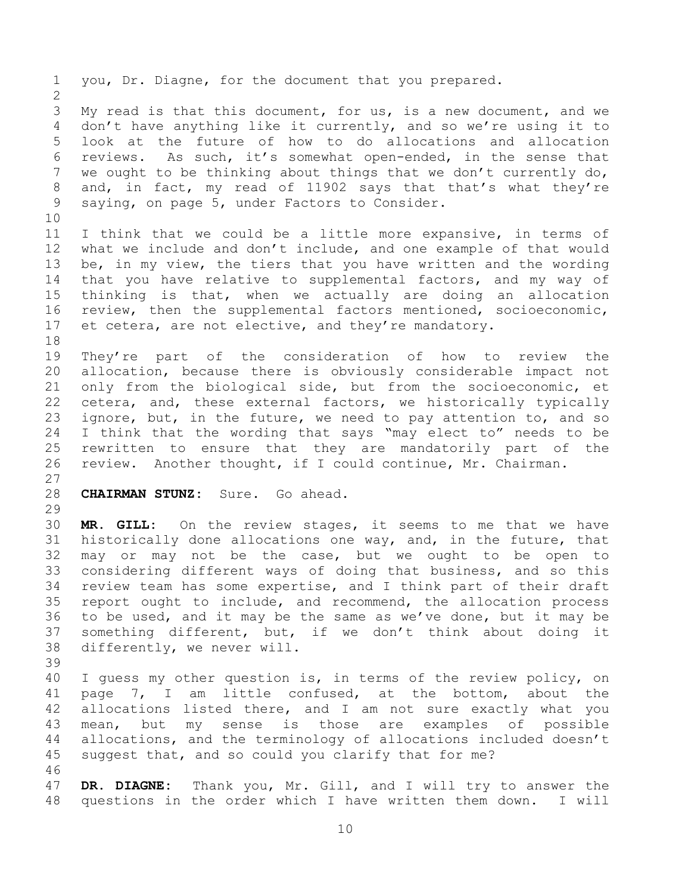you, Dr. Diagne, for the document that you prepared. My read is that this document, for us, is a new document, and we don't have anything like it currently, and so we're using it to look at the future of how to do allocations and allocation reviews. As such, it's somewhat open-ended, in the sense that we ought to be thinking about things that we don't currently do, and, in fact, my read of 11902 says that that's what they're saying, on page 5, under Factors to Consider. I think that we could be a little more expansive, in terms of what we include and don't include, and one example of that would be, in my view, the tiers that you have written and the wording that you have relative to supplemental factors, and my way of thinking is that, when we actually are doing an allocation review, then the supplemental factors mentioned, socioeconomic, et cetera, are not elective, and they're mandatory. They're part of the consideration of how to review the allocation, because there is obviously considerable impact not only from the biological side, but from the socioeconomic, et cetera, and, these external factors, we historically typically ignore, but, in the future, we need to pay attention to, and so I think that the wording that says "may elect to" needs to be rewritten to ensure that they are mandatorily part of the review. Another thought, if I could continue, Mr. Chairman. **CHAIRMAN STUNZ:** Sure. Go ahead. **MR. GILL:** On the review stages, it seems to me that we have historically done allocations one way, and, in the future, that may or may not be the case, but we ought to be open to considering different ways of doing that business, and so this review team has some expertise, and I think part of their draft report ought to include, and recommend, the allocation process to be used, and it may be the same as we've done, but it may be something different, but, if we don't think about doing it differently, we never will. I guess my other question is, in terms of the review policy, on page 7, I am little confused, at the bottom, about the allocations listed there, and I am not sure exactly what you mean, but my sense is those are examples of possible allocations, and the terminology of allocations included doesn't suggest that, and so could you clarify that for me? **DR. DIAGNE:** Thank you, Mr. Gill, and I will try to answer the questions in the order which I have written them down. I will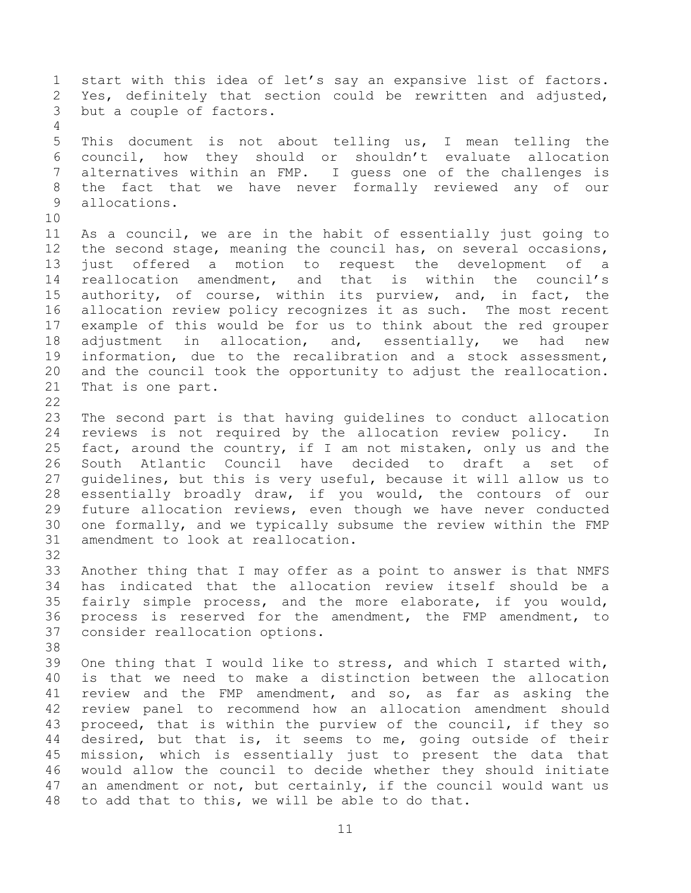start with this idea of let's say an expansive list of factors. Yes, definitely that section could be rewritten and adjusted, but a couple of factors. This document is not about telling us, I mean telling the council, how they should or shouldn't evaluate allocation alternatives within an FMP. I guess one of the challenges is the fact that we have never formally reviewed any of our allocations. As a council, we are in the habit of essentially just going to the second stage, meaning the council has, on several occasions, just offered a motion to request the development of a reallocation amendment, and that is within the council's authority, of course, within its purview, and, in fact, the allocation review policy recognizes it as such. The most recent example of this would be for us to think about the red grouper adjustment in allocation, and, essentially, we had new information, due to the recalibration and a stock assessment, and the council took the opportunity to adjust the reallocation. That is one part. The second part is that having guidelines to conduct allocation reviews is not required by the allocation review policy. In fact, around the country, if I am not mistaken, only us and the South Atlantic Council have decided to draft a set of guidelines, but this is very useful, because it will allow us to essentially broadly draw, if you would, the contours of our future allocation reviews, even though we have never conducted one formally, and we typically subsume the review within the FMP amendment to look at reallocation. Another thing that I may offer as a point to answer is that NMFS has indicated that the allocation review itself should be a fairly simple process, and the more elaborate, if you would, process is reserved for the amendment, the FMP amendment, to consider reallocation options. One thing that I would like to stress, and which I started with, is that we need to make a distinction between the allocation review and the FMP amendment, and so, as far as asking the review panel to recommend how an allocation amendment should proceed, that is within the purview of the council, if they so desired, but that is, it seems to me, going outside of their mission, which is essentially just to present the data that would allow the council to decide whether they should initiate an amendment or not, but certainly, if the council would want us to add that to this, we will be able to do that.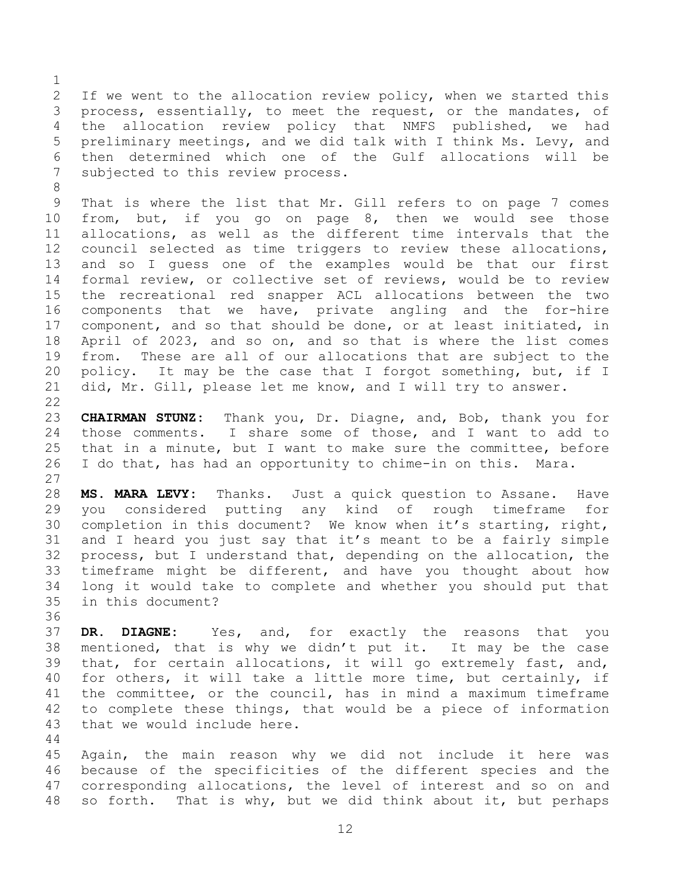If we went to the allocation review policy, when we started this process, essentially, to meet the request, or the mandates, of the allocation review policy that NMFS published, we had preliminary meetings, and we did talk with I think Ms. Levy, and then determined which one of the Gulf allocations will be subjected to this review process.

 That is where the list that Mr. Gill refers to on page 7 comes from, but, if you go on page 8, then we would see those allocations, as well as the different time intervals that the council selected as time triggers to review these allocations, and so I guess one of the examples would be that our first formal review, or collective set of reviews, would be to review the recreational red snapper ACL allocations between the two components that we have, private angling and the for-hire component, and so that should be done, or at least initiated, in April of 2023, and so on, and so that is where the list comes from. These are all of our allocations that are subject to the policy. It may be the case that I forgot something, but, if I did, Mr. Gill, please let me know, and I will try to answer. 

 **CHAIRMAN STUNZ:** Thank you, Dr. Diagne, and, Bob, thank you for those comments. I share some of those, and I want to add to that in a minute, but I want to make sure the committee, before I do that, has had an opportunity to chime-in on this. Mara. 

 **MS. MARA LEVY:** Thanks. Just a quick question to Assane. Have you considered putting any kind of rough timeframe for completion in this document? We know when it's starting, right, and I heard you just say that it's meant to be a fairly simple process, but I understand that, depending on the allocation, the timeframe might be different, and have you thought about how long it would take to complete and whether you should put that in this document?

 **DR. DIAGNE:** Yes, and, for exactly the reasons that you mentioned, that is why we didn't put it. It may be the case that, for certain allocations, it will go extremely fast, and, for others, it will take a little more time, but certainly, if the committee, or the council, has in mind a maximum timeframe to complete these things, that would be a piece of information that we would include here.

 Again, the main reason why we did not include it here was because of the specificities of the different species and the corresponding allocations, the level of interest and so on and so forth. That is why, but we did think about it, but perhaps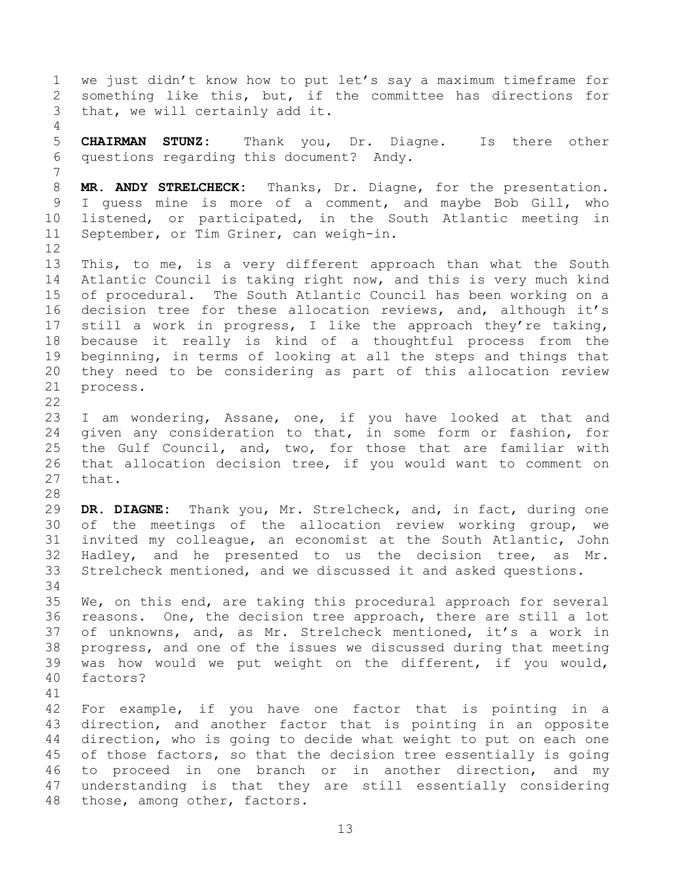we just didn't know how to put let's say a maximum timeframe for something like this, but, if the committee has directions for that, we will certainly add it. **CHAIRMAN STUNZ:** Thank you, Dr. Diagne. Is there other questions regarding this document? Andy. **MR. ANDY STRELCHECK:** Thanks, Dr. Diagne, for the presentation. I guess mine is more of a comment, and maybe Bob Gill, who listened, or participated, in the South Atlantic meeting in September, or Tim Griner, can weigh-in. This, to me, is a very different approach than what the South Atlantic Council is taking right now, and this is very much kind of procedural. The South Atlantic Council has been working on a decision tree for these allocation reviews, and, although it's still a work in progress, I like the approach they're taking, because it really is kind of a thoughtful process from the beginning, in terms of looking at all the steps and things that they need to be considering as part of this allocation review process. I am wondering, Assane, one, if you have looked at that and given any consideration to that, in some form or fashion, for the Gulf Council, and, two, for those that are familiar with that allocation decision tree, if you would want to comment on that. **DR. DIAGNE:** Thank you, Mr. Strelcheck, and, in fact, during one of the meetings of the allocation review working group, we invited my colleague, an economist at the South Atlantic, John Hadley, and he presented to us the decision tree, as Mr. Strelcheck mentioned, and we discussed it and asked questions. We, on this end, are taking this procedural approach for several reasons. One, the decision tree approach, there are still a lot of unknowns, and, as Mr. Strelcheck mentioned, it's a work in progress, and one of the issues we discussed during that meeting was how would we put weight on the different, if you would, factors? For example, if you have one factor that is pointing in a direction, and another factor that is pointing in an opposite direction, who is going to decide what weight to put on each one of those factors, so that the decision tree essentially is going to proceed in one branch or in another direction, and my understanding is that they are still essentially considering those, among other, factors.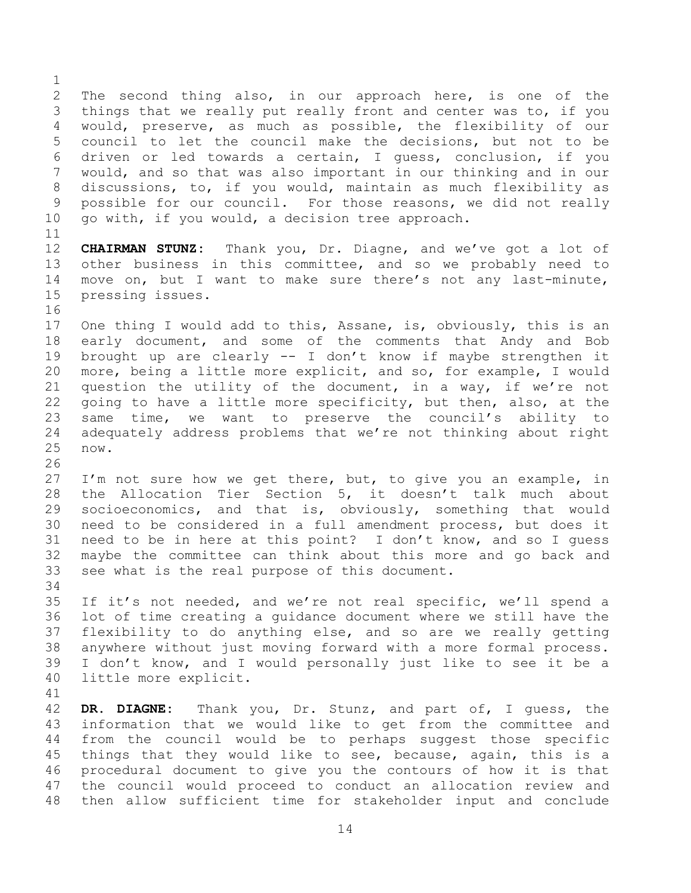The second thing also, in our approach here, is one of the things that we really put really front and center was to, if you would, preserve, as much as possible, the flexibility of our council to let the council make the decisions, but not to be driven or led towards a certain, I guess, conclusion, if you would, and so that was also important in our thinking and in our discussions, to, if you would, maintain as much flexibility as possible for our council. For those reasons, we did not really go with, if you would, a decision tree approach. **CHAIRMAN STUNZ:** Thank you, Dr. Diagne, and we've got a lot of other business in this committee, and so we probably need to move on, but I want to make sure there's not any last-minute, pressing issues. One thing I would add to this, Assane, is, obviously, this is an early document, and some of the comments that Andy and Bob brought up are clearly -- I don't know if maybe strengthen it more, being a little more explicit, and so, for example, I would question the utility of the document, in a way, if we're not going to have a little more specificity, but then, also, at the same time, we want to preserve the council's ability to adequately address problems that we're not thinking about right now. I'm not sure how we get there, but, to give you an example, in the Allocation Tier Section 5, it doesn't talk much about socioeconomics, and that is, obviously, something that would need to be considered in a full amendment process, but does it need to be in here at this point? I don't know, and so I guess maybe the committee can think about this more and go back and see what is the real purpose of this document. If it's not needed, and we're not real specific, we'll spend a lot of time creating a guidance document where we still have the flexibility to do anything else, and so are we really getting anywhere without just moving forward with a more formal process. I don't know, and I would personally just like to see it be a little more explicit. **DR. DIAGNE:** Thank you, Dr. Stunz, and part of, I guess, the information that we would like to get from the committee and from the council would be to perhaps suggest those specific things that they would like to see, because, again, this is a procedural document to give you the contours of how it is that the council would proceed to conduct an allocation review and

then allow sufficient time for stakeholder input and conclude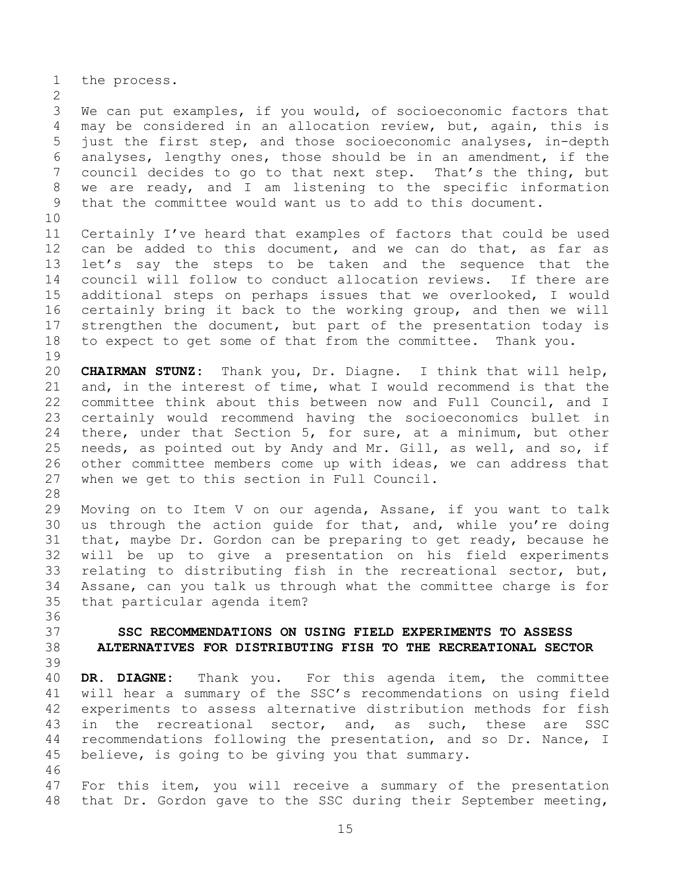the process.

 We can put examples, if you would, of socioeconomic factors that may be considered in an allocation review, but, again, this is just the first step, and those socioeconomic analyses, in-depth analyses, lengthy ones, those should be in an amendment, if the council decides to go to that next step. That's the thing, but we are ready, and I am listening to the specific information that the committee would want us to add to this document.

 Certainly I've heard that examples of factors that could be used can be added to this document, and we can do that, as far as let's say the steps to be taken and the sequence that the council will follow to conduct allocation reviews. If there are additional steps on perhaps issues that we overlooked, I would certainly bring it back to the working group, and then we will strengthen the document, but part of the presentation today is to expect to get some of that from the committee. Thank you. 

 **CHAIRMAN STUNZ:** Thank you, Dr. Diagne. I think that will help, and, in the interest of time, what I would recommend is that the committee think about this between now and Full Council, and I certainly would recommend having the socioeconomics bullet in there, under that Section 5, for sure, at a minimum, but other needs, as pointed out by Andy and Mr. Gill, as well, and so, if other committee members come up with ideas, we can address that when we get to this section in Full Council.

 Moving on to Item V on our agenda, Assane, if you want to talk us through the action guide for that, and, while you're doing that, maybe Dr. Gordon can be preparing to get ready, because he will be up to give a presentation on his field experiments relating to distributing fish in the recreational sector, but, Assane, can you talk us through what the committee charge is for that particular agenda item?

<span id="page-14-0"></span> **SSC RECOMMENDATIONS ON USING FIELD EXPERIMENTS TO ASSESS ALTERNATIVES FOR DISTRIBUTING FISH TO THE RECREATIONAL SECTOR**

 **DR. DIAGNE:** Thank you. For this agenda item, the committee will hear a summary of the SSC's recommendations on using field experiments to assess alternative distribution methods for fish in the recreational sector, and, as such, these are SSC recommendations following the presentation, and so Dr. Nance, I believe, is going to be giving you that summary. 

 For this item, you will receive a summary of the presentation that Dr. Gordon gave to the SSC during their September meeting,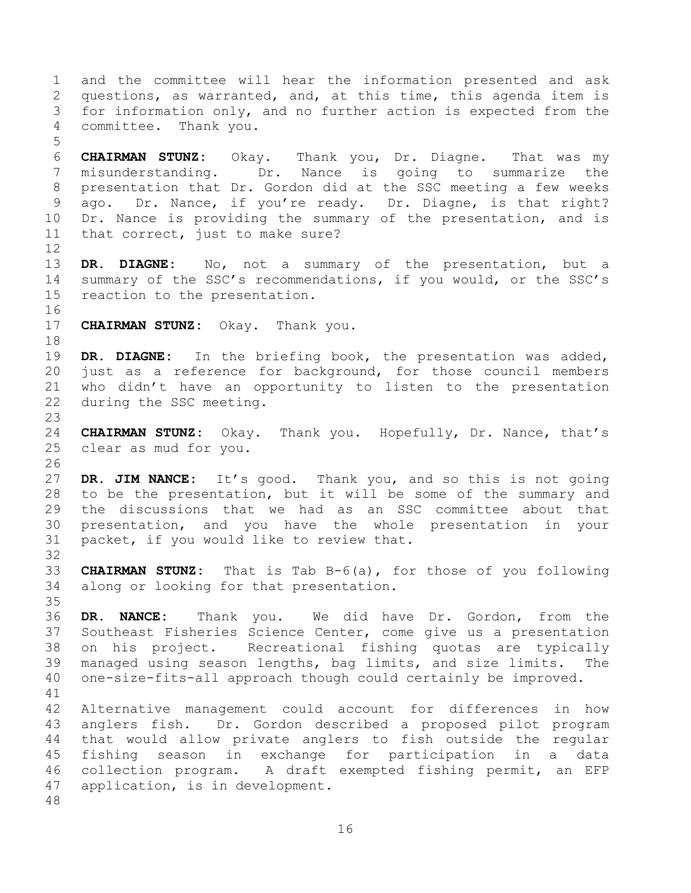and the committee will hear the information presented and ask questions, as warranted, and, at this time, this agenda item is for information only, and no further action is expected from the committee. Thank you. **CHAIRMAN STUNZ:** Okay. Thank you, Dr. Diagne. That was my

 misunderstanding. Dr. Nance is going to summarize the presentation that Dr. Gordon did at the SSC meeting a few weeks ago. Dr. Nance, if you're ready. Dr. Diagne, is that right? Dr. Nance is providing the summary of the presentation, and is that correct, just to make sure? 

 **DR. DIAGNE:** No, not a summary of the presentation, but a summary of the SSC's recommendations, if you would, or the SSC's reaction to the presentation. 

**CHAIRMAN STUNZ:** Okay. Thank you.

 **DR. DIAGNE:** In the briefing book, the presentation was added, just as a reference for background, for those council members who didn't have an opportunity to listen to the presentation during the SSC meeting.

 **CHAIRMAN STUNZ:** Okay. Thank you. Hopefully, Dr. Nance, that's clear as mud for you.

 **DR. JIM NANCE:** It's good. Thank you, and so this is not going to be the presentation, but it will be some of the summary and the discussions that we had as an SSC committee about that presentation, and you have the whole presentation in your packet, if you would like to review that.

 **CHAIRMAN STUNZ:** That is Tab B-6(a), for those of you following along or looking for that presentation. 

 **DR. NANCE:** Thank you. We did have Dr. Gordon, from the Southeast Fisheries Science Center, come give us a presentation on his project. Recreational fishing quotas are typically managed using season lengths, bag limits, and size limits. The one-size-fits-all approach though could certainly be improved. 

 Alternative management could account for differences in how anglers fish. Dr. Gordon described a proposed pilot program that would allow private anglers to fish outside the regular fishing season in exchange for participation in a data collection program. A draft exempted fishing permit, an EFP application, is in development.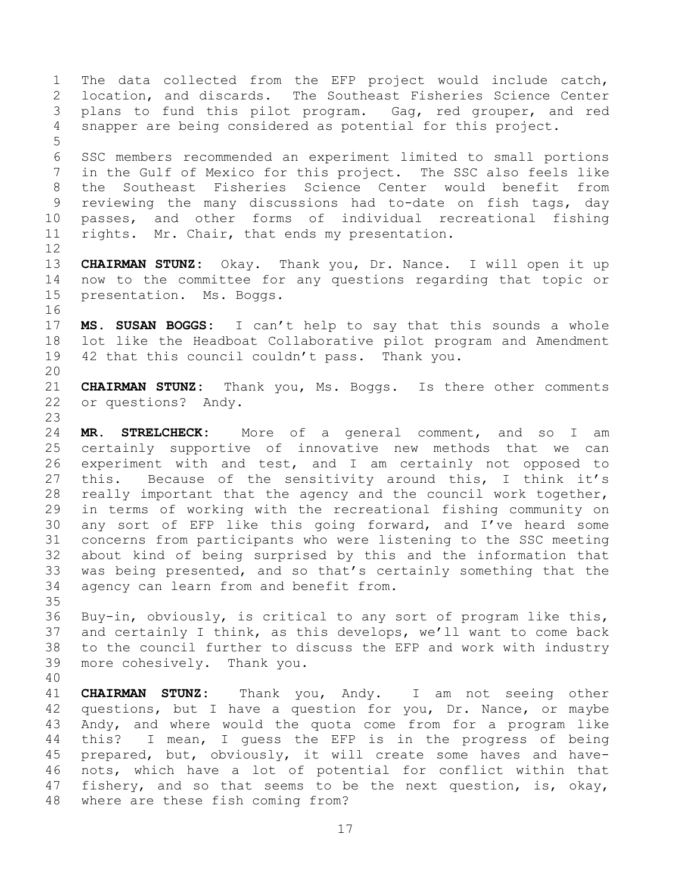The data collected from the EFP project would include catch, location, and discards. The Southeast Fisheries Science Center plans to fund this pilot program. Gag, red grouper, and red snapper are being considered as potential for this project. SSC members recommended an experiment limited to small portions in the Gulf of Mexico for this project. The SSC also feels like the Southeast Fisheries Science Center would benefit from reviewing the many discussions had to-date on fish tags, day passes, and other forms of individual recreational fishing rights. Mr. Chair, that ends my presentation. **CHAIRMAN STUNZ:** Okay. Thank you, Dr. Nance. I will open it up now to the committee for any questions regarding that topic or presentation. Ms. Boggs. **MS. SUSAN BOGGS:** I can't help to say that this sounds a whole lot like the Headboat Collaborative pilot program and Amendment 42 that this council couldn't pass. Thank you. **CHAIRMAN STUNZ:** Thank you, Ms. Boggs. Is there other comments or questions? Andy. **MR. STRELCHECK:** More of a general comment, and so I am certainly supportive of innovative new methods that we can experiment with and test, and I am certainly not opposed to this. Because of the sensitivity around this, I think it's really important that the agency and the council work together, in terms of working with the recreational fishing community on any sort of EFP like this going forward, and I've heard some concerns from participants who were listening to the SSC meeting about kind of being surprised by this and the information that was being presented, and so that's certainly something that the agency can learn from and benefit from. Buy-in, obviously, is critical to any sort of program like this, and certainly I think, as this develops, we'll want to come back to the council further to discuss the EFP and work with industry more cohesively. Thank you.

 **CHAIRMAN STUNZ:** Thank you, Andy. I am not seeing other questions, but I have a question for you, Dr. Nance, or maybe Andy, and where would the quota come from for a program like this? I mean, I guess the EFP is in the progress of being prepared, but, obviously, it will create some haves and have- nots, which have a lot of potential for conflict within that fishery, and so that seems to be the next question, is, okay, where are these fish coming from?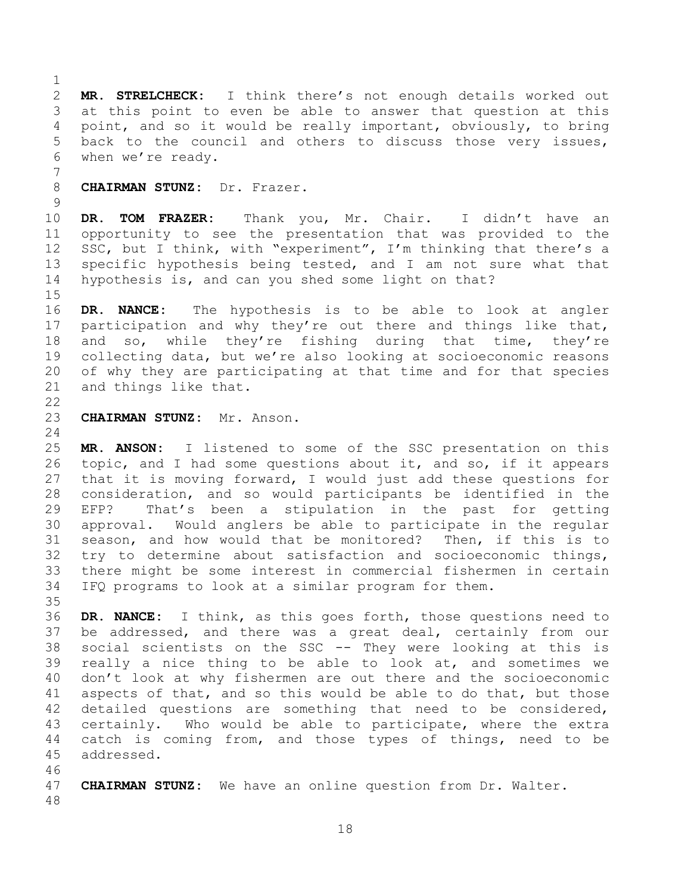**MR. STRELCHECK:** I think there's not enough details worked out at this point to even be able to answer that question at this point, and so it would be really important, obviously, to bring back to the council and others to discuss those very issues, when we're ready.

**CHAIRMAN STUNZ:** Dr. Frazer.

 **DR. TOM FRAZER:** Thank you, Mr. Chair. I didn't have an opportunity to see the presentation that was provided to the 12 SSC, but I think, with "experiment", I'm thinking that there's a specific hypothesis being tested, and I am not sure what that hypothesis is, and can you shed some light on that?

 **DR. NANCE:** The hypothesis is to be able to look at angler participation and why they're out there and things like that, and so, while they're fishing during that time, they're collecting data, but we're also looking at socioeconomic reasons of why they are participating at that time and for that species and things like that.

**CHAIRMAN STUNZ:** Mr. Anson.

 **MR. ANSON:** I listened to some of the SSC presentation on this topic, and I had some questions about it, and so, if it appears that it is moving forward, I would just add these questions for consideration, and so would participants be identified in the EFP? That's been a stipulation in the past for getting approval. Would anglers be able to participate in the regular season, and how would that be monitored? Then, if this is to try to determine about satisfaction and socioeconomic things, there might be some interest in commercial fishermen in certain IFQ programs to look at a similar program for them. 

 **DR. NANCE:** I think, as this goes forth, those questions need to be addressed, and there was a great deal, certainly from our social scientists on the SSC -- They were looking at this is really a nice thing to be able to look at, and sometimes we don't look at why fishermen are out there and the socioeconomic aspects of that, and so this would be able to do that, but those detailed questions are something that need to be considered, certainly. Who would be able to participate, where the extra catch is coming from, and those types of things, need to be addressed.

 **CHAIRMAN STUNZ:** We have an online question from Dr. Walter.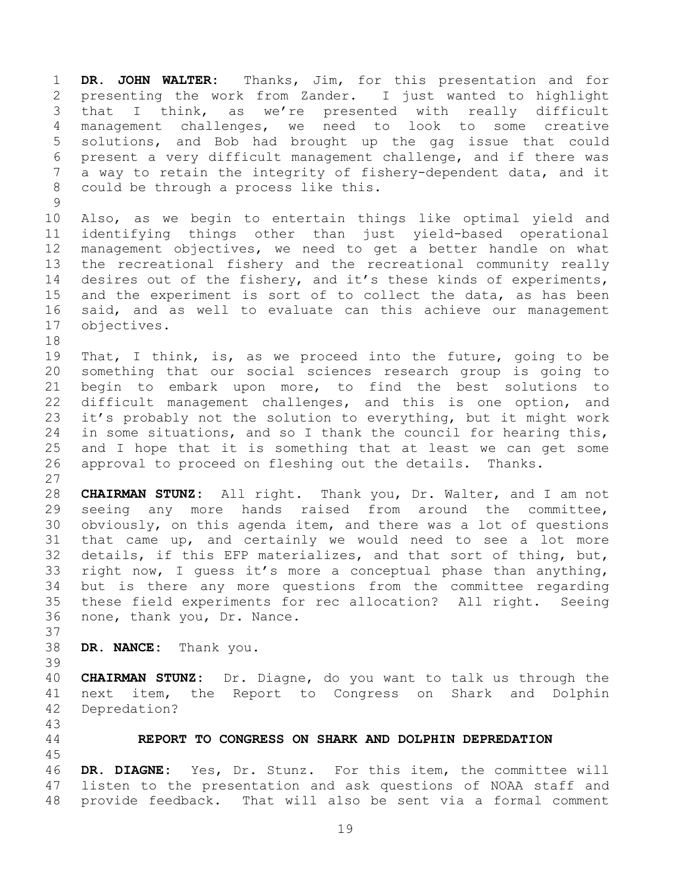**DR. JOHN WALTER:** Thanks, Jim, for this presentation and for presenting the work from Zander. I just wanted to highlight that I think, as we're presented with really difficult management challenges, we need to look to some creative solutions, and Bob had brought up the gag issue that could present a very difficult management challenge, and if there was a way to retain the integrity of fishery-dependent data, and it could be through a process like this.

 Also, as we begin to entertain things like optimal yield and identifying things other than just yield-based operational management objectives, we need to get a better handle on what the recreational fishery and the recreational community really desires out of the fishery, and it's these kinds of experiments, and the experiment is sort of to collect the data, as has been said, and as well to evaluate can this achieve our management objectives.

 That, I think, is, as we proceed into the future, going to be something that our social sciences research group is going to begin to embark upon more, to find the best solutions to difficult management challenges, and this is one option, and it's probably not the solution to everything, but it might work in some situations, and so I thank the council for hearing this, and I hope that it is something that at least we can get some approval to proceed on fleshing out the details. Thanks. 

 **CHAIRMAN STUNZ:** All right. Thank you, Dr. Walter, and I am not seeing any more hands raised from around the committee, obviously, on this agenda item, and there was a lot of questions that came up, and certainly we would need to see a lot more details, if this EFP materializes, and that sort of thing, but, right now, I guess it's more a conceptual phase than anything, but is there any more questions from the committee regarding these field experiments for rec allocation? All right. Seeing none, thank you, Dr. Nance.

- **DR. NANCE:** Thank you.
- 

 **CHAIRMAN STUNZ:** Dr. Diagne, do you want to talk us through the next item, the Report to Congress on Shark and Dolphin Depredation?

<span id="page-18-0"></span>**REPORT TO CONGRESS ON SHARK AND DOLPHIN DEPREDATION**

 **DR. DIAGNE:** Yes, Dr. Stunz. For this item, the committee will listen to the presentation and ask questions of NOAA staff and provide feedback. That will also be sent via a formal comment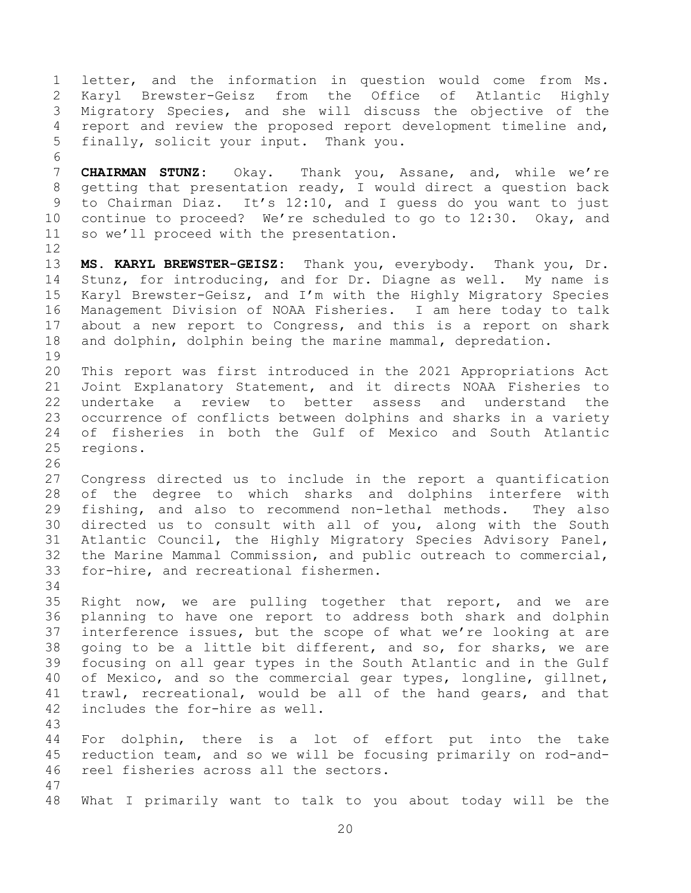letter, and the information in question would come from Ms. Karyl Brewster-Geisz from the Office of Atlantic Highly Migratory Species, and she will discuss the objective of the report and review the proposed report development timeline and, finally, solicit your input. Thank you. **CHAIRMAN STUNZ:** Okay. Thank you, Assane, and, while we're getting that presentation ready, I would direct a question back to Chairman Diaz. It's 12:10, and I guess do you want to just continue to proceed? We're scheduled to go to 12:30. Okay, and so we'll proceed with the presentation. **MS. KARYL BREWSTER-GEISZ:** Thank you, everybody. Thank you, Dr. Stunz, for introducing, and for Dr. Diagne as well. My name is Karyl Brewster-Geisz, and I'm with the Highly Migratory Species Management Division of NOAA Fisheries. I am here today to talk about a new report to Congress, and this is a report on shark and dolphin, dolphin being the marine mammal, depredation. This report was first introduced in the 2021 Appropriations Act Joint Explanatory Statement, and it directs NOAA Fisheries to undertake a review to better assess and understand the occurrence of conflicts between dolphins and sharks in a variety of fisheries in both the Gulf of Mexico and South Atlantic regions. Congress directed us to include in the report a quantification of the degree to which sharks and dolphins interfere with fishing, and also to recommend non-lethal methods. They also directed us to consult with all of you, along with the South Atlantic Council, the Highly Migratory Species Advisory Panel, the Marine Mammal Commission, and public outreach to commercial, for-hire, and recreational fishermen. Right now, we are pulling together that report, and we are planning to have one report to address both shark and dolphin interference issues, but the scope of what we're looking at are going to be a little bit different, and so, for sharks, we are focusing on all gear types in the South Atlantic and in the Gulf of Mexico, and so the commercial gear types, longline, gillnet, trawl, recreational, would be all of the hand gears, and that includes the for-hire as well. For dolphin, there is a lot of effort put into the take reduction team, and so we will be focusing primarily on rod-and- reel fisheries across all the sectors. What I primarily want to talk to you about today will be the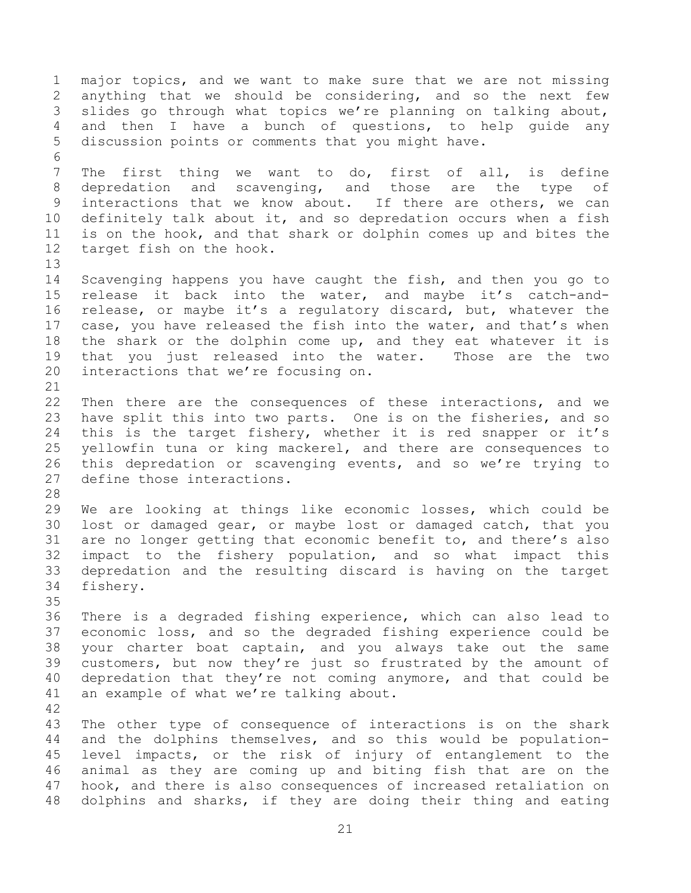major topics, and we want to make sure that we are not missing anything that we should be considering, and so the next few slides go through what topics we're planning on talking about, and then I have a bunch of questions, to help guide any discussion points or comments that you might have. The first thing we want to do, first of all, is define depredation and scavenging, and those are the type of interactions that we know about. If there are others, we can definitely talk about it, and so depredation occurs when a fish is on the hook, and that shark or dolphin comes up and bites the target fish on the hook. Scavenging happens you have caught the fish, and then you go to release it back into the water, and maybe it's catch-and- release, or maybe it's a regulatory discard, but, whatever the 17 case, you have released the fish into the water, and that's when the shark or the dolphin come up, and they eat whatever it is that you just released into the water. Those are the two interactions that we're focusing on. Then there are the consequences of these interactions, and we have split this into two parts. One is on the fisheries, and so this is the target fishery, whether it is red snapper or it's yellowfin tuna or king mackerel, and there are consequences to this depredation or scavenging events, and so we're trying to define those interactions. We are looking at things like economic losses, which could be lost or damaged gear, or maybe lost or damaged catch, that you are no longer getting that economic benefit to, and there's also impact to the fishery population, and so what impact this depredation and the resulting discard is having on the target fishery. There is a degraded fishing experience, which can also lead to economic loss, and so the degraded fishing experience could be your charter boat captain, and you always take out the same customers, but now they're just so frustrated by the amount of depredation that they're not coming anymore, and that could be an example of what we're talking about. The other type of consequence of interactions is on the shark and the dolphins themselves, and so this would be population- level impacts, or the risk of injury of entanglement to the animal as they are coming up and biting fish that are on the hook, and there is also consequences of increased retaliation on dolphins and sharks, if they are doing their thing and eating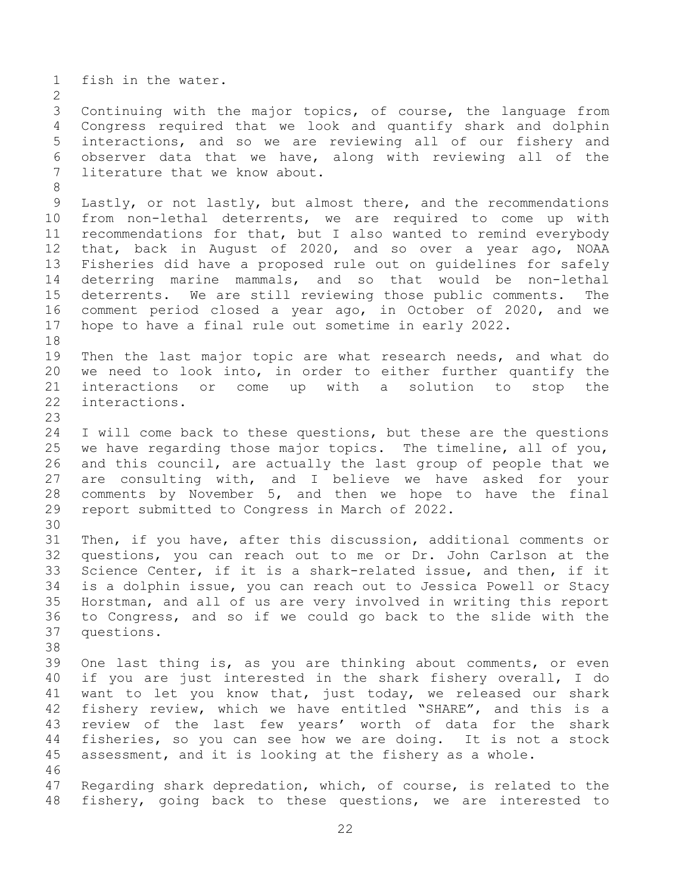fish in the water. Continuing with the major topics, of course, the language from Congress required that we look and quantify shark and dolphin interactions, and so we are reviewing all of our fishery and observer data that we have, along with reviewing all of the literature that we know about. Lastly, or not lastly, but almost there, and the recommendations from non-lethal deterrents, we are required to come up with recommendations for that, but I also wanted to remind everybody that, back in August of 2020, and so over a year ago, NOAA Fisheries did have a proposed rule out on guidelines for safely deterring marine mammals, and so that would be non-lethal deterrents. We are still reviewing those public comments. The comment period closed a year ago, in October of 2020, and we hope to have a final rule out sometime in early 2022. Then the last major topic are what research needs, and what do we need to look into, in order to either further quantify the interactions or come up with a solution to stop the interactions. I will come back to these questions, but these are the questions we have regarding those major topics. The timeline, all of you, and this council, are actually the last group of people that we are consulting with, and I believe we have asked for your comments by November 5, and then we hope to have the final report submitted to Congress in March of 2022. Then, if you have, after this discussion, additional comments or questions, you can reach out to me or Dr. John Carlson at the Science Center, if it is a shark-related issue, and then, if it is a dolphin issue, you can reach out to Jessica Powell or Stacy Horstman, and all of us are very involved in writing this report to Congress, and so if we could go back to the slide with the questions. One last thing is, as you are thinking about comments, or even if you are just interested in the shark fishery overall, I do want to let you know that, just today, we released our shark fishery review, which we have entitled "SHARE", and this is a review of the last few years' worth of data for the shark fisheries, so you can see how we are doing. It is not a stock assessment, and it is looking at the fishery as a whole. Regarding shark depredation, which, of course, is related to the fishery, going back to these questions, we are interested to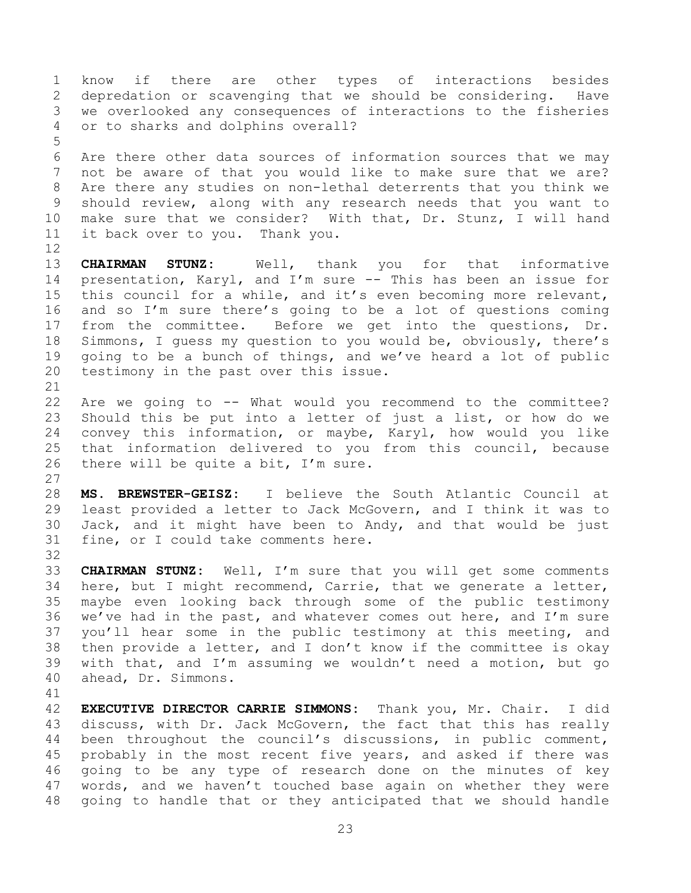know if there are other types of interactions besides depredation or scavenging that we should be considering. Have we overlooked any consequences of interactions to the fisheries or to sharks and dolphins overall?

 Are there other data sources of information sources that we may not be aware of that you would like to make sure that we are? Are there any studies on non-lethal deterrents that you think we should review, along with any research needs that you want to make sure that we consider? With that, Dr. Stunz, I will hand it back over to you. Thank you.

 **CHAIRMAN STUNZ:** Well, thank you for that informative presentation, Karyl, and I'm sure -- This has been an issue for this council for a while, and it's even becoming more relevant, and so I'm sure there's going to be a lot of questions coming from the committee. Before we get into the questions, Dr. Simmons, I guess my question to you would be, obviously, there's going to be a bunch of things, and we've heard a lot of public testimony in the past over this issue.

 Are we going to -- What would you recommend to the committee? Should this be put into a letter of just a list, or how do we convey this information, or maybe, Karyl, how would you like that information delivered to you from this council, because there will be quite a bit, I'm sure.

 **MS. BREWSTER-GEISZ:** I believe the South Atlantic Council at least provided a letter to Jack McGovern, and I think it was to Jack, and it might have been to Andy, and that would be just fine, or I could take comments here.

 **CHAIRMAN STUNZ:** Well, I'm sure that you will get some comments here, but I might recommend, Carrie, that we generate a letter, maybe even looking back through some of the public testimony 36 we've had in the past, and whatever comes out here, and  $I'm$  sure you'll hear some in the public testimony at this meeting, and then provide a letter, and I don't know if the committee is okay with that, and I'm assuming we wouldn't need a motion, but go ahead, Dr. Simmons.

 **EXECUTIVE DIRECTOR CARRIE SIMMONS:** Thank you, Mr. Chair. I did discuss, with Dr. Jack McGovern, the fact that this has really been throughout the council's discussions, in public comment, probably in the most recent five years, and asked if there was going to be any type of research done on the minutes of key words, and we haven't touched base again on whether they were going to handle that or they anticipated that we should handle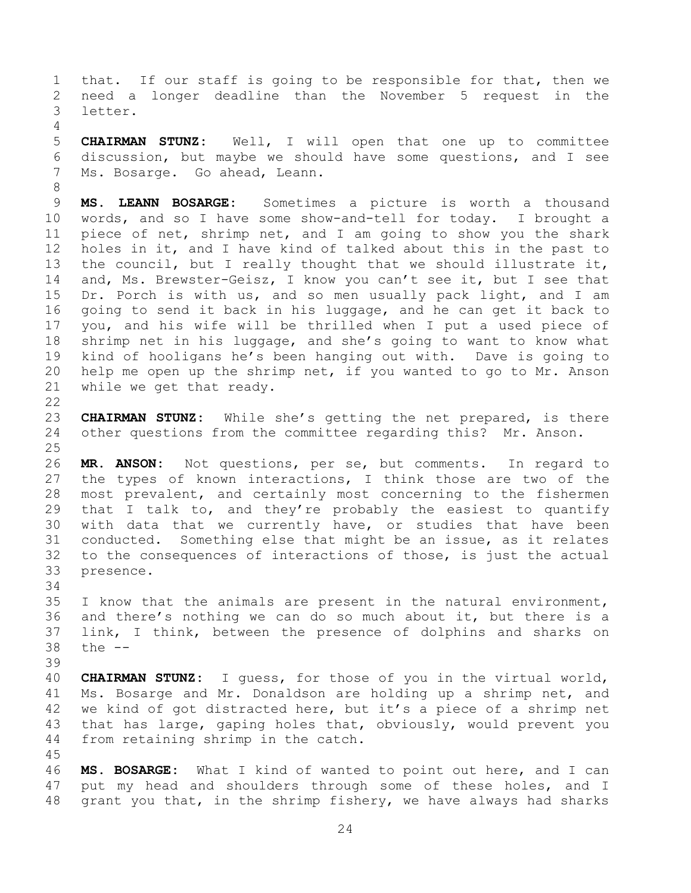that. If our staff is going to be responsible for that, then we need a longer deadline than the November 5 request in the letter.

 **CHAIRMAN STUNZ:** Well, I will open that one up to committee discussion, but maybe we should have some questions, and I see Ms. Bosarge. Go ahead, Leann.

 **MS. LEANN BOSARGE:** Sometimes a picture is worth a thousand words, and so I have some show-and-tell for today. I brought a piece of net, shrimp net, and I am going to show you the shark holes in it, and I have kind of talked about this in the past to the council, but I really thought that we should illustrate it, and, Ms. Brewster-Geisz, I know you can't see it, but I see that Dr. Porch is with us, and so men usually pack light, and I am going to send it back in his luggage, and he can get it back to you, and his wife will be thrilled when I put a used piece of shrimp net in his luggage, and she's going to want to know what kind of hooligans he's been hanging out with. Dave is going to help me open up the shrimp net, if you wanted to go to Mr. Anson while we get that ready.

 **CHAIRMAN STUNZ:** While she's getting the net prepared, is there other questions from the committee regarding this? Mr. Anson.

 **MR. ANSON:** Not questions, per se, but comments. In regard to the types of known interactions, I think those are two of the most prevalent, and certainly most concerning to the fishermen that I talk to, and they're probably the easiest to quantify with data that we currently have, or studies that have been conducted. Something else that might be an issue, as it relates to the consequences of interactions of those, is just the actual presence.

 I know that the animals are present in the natural environment, and there's nothing we can do so much about it, but there is a link, I think, between the presence of dolphins and sharks on the --

 **CHAIRMAN STUNZ:** I guess, for those of you in the virtual world, Ms. Bosarge and Mr. Donaldson are holding up a shrimp net, and we kind of got distracted here, but it's a piece of a shrimp net that has large, gaping holes that, obviously, would prevent you from retaining shrimp in the catch.

 **MS. BOSARGE:** What I kind of wanted to point out here, and I can put my head and shoulders through some of these holes, and I grant you that, in the shrimp fishery, we have always had sharks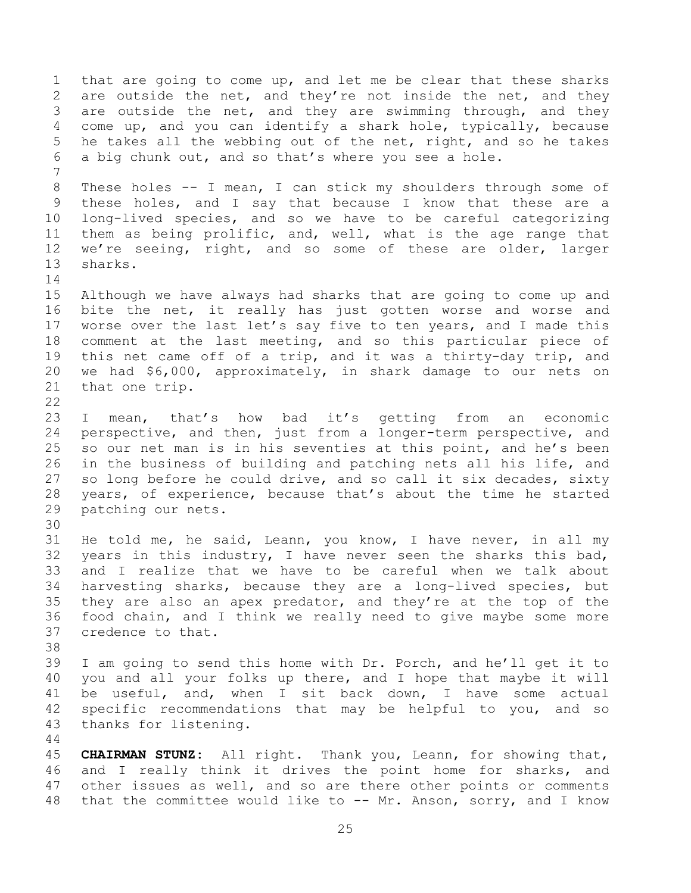that are going to come up, and let me be clear that these sharks 2 are outside the net, and they're not inside the net, and they 3 are outside the net, and they are swimming through, and they come up, and you can identify a shark hole, typically, because he takes all the webbing out of the net, right, and so he takes a big chunk out, and so that's where you see a hole. These holes -- I mean, I can stick my shoulders through some of these holes, and I say that because I know that these are a long-lived species, and so we have to be careful categorizing them as being prolific, and, well, what is the age range that we're seeing, right, and so some of these are older, larger sharks. Although we have always had sharks that are going to come up and bite the net, it really has just gotten worse and worse and 17 worse over the last let's say five to ten years, and I made this comment at the last meeting, and so this particular piece of this net came off of a trip, and it was a thirty-day trip, and we had \$6,000, approximately, in shark damage to our nets on that one trip. I mean, that's how bad it's getting from an economic perspective, and then, just from a longer-term perspective, and so our net man is in his seventies at this point, and he's been in the business of building and patching nets all his life, and so long before he could drive, and so call it six decades, sixty years, of experience, because that's about the time he started patching our nets. He told me, he said, Leann, you know, I have never, in all my years in this industry, I have never seen the sharks this bad, and I realize that we have to be careful when we talk about harvesting sharks, because they are a long-lived species, but they are also an apex predator, and they're at the top of the food chain, and I think we really need to give maybe some more credence to that. I am going to send this home with Dr. Porch, and he'll get it to you and all your folks up there, and I hope that maybe it will be useful, and, when I sit back down, I have some actual specific recommendations that may be helpful to you, and so thanks for listening. **CHAIRMAN STUNZ:** All right. Thank you, Leann, for showing that, and I really think it drives the point home for sharks, and other issues as well, and so are there other points or comments that the committee would like to -- Mr. Anson, sorry, and I know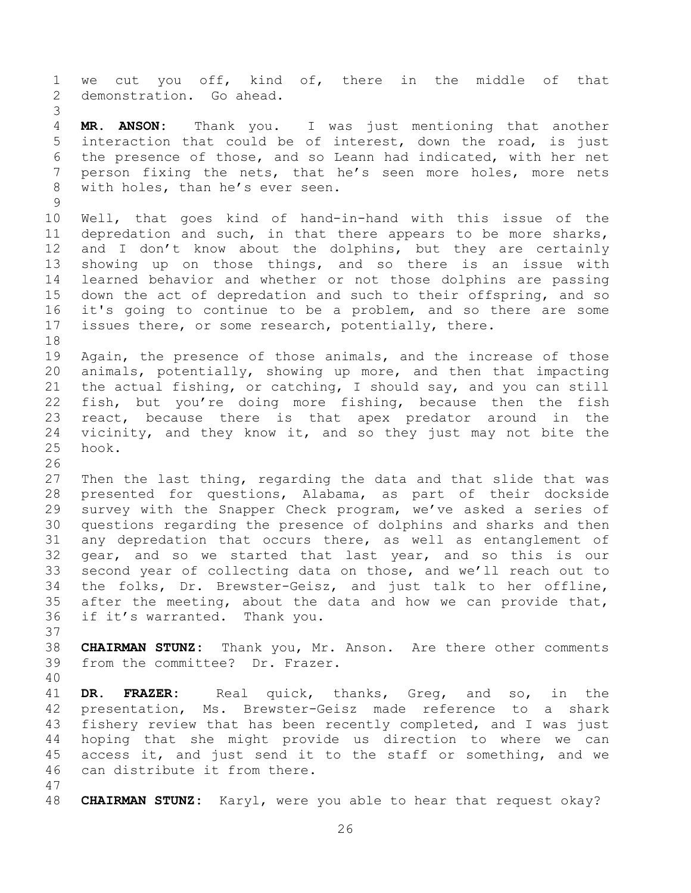we cut you off, kind of, there in the middle of that demonstration. Go ahead. **MR. ANSON:** Thank you. I was just mentioning that another interaction that could be of interest, down the road, is just the presence of those, and so Leann had indicated, with her net person fixing the nets, that he's seen more holes, more nets with holes, than he's ever seen. Well, that goes kind of hand-in-hand with this issue of the depredation and such, in that there appears to be more sharks, 12 and I don't know about the dolphins, but they are certainly showing up on those things, and so there is an issue with learned behavior and whether or not those dolphins are passing down the act of depredation and such to their offspring, and so it's going to continue to be a problem, and so there are some issues there, or some research, potentially, there. Again, the presence of those animals, and the increase of those animals, potentially, showing up more, and then that impacting the actual fishing, or catching, I should say, and you can still fish, but you're doing more fishing, because then the fish react, because there is that apex predator around in the vicinity, and they know it, and so they just may not bite the hook. Then the last thing, regarding the data and that slide that was presented for questions, Alabama, as part of their dockside survey with the Snapper Check program, we've asked a series of questions regarding the presence of dolphins and sharks and then any depredation that occurs there, as well as entanglement of gear, and so we started that last year, and so this is our second year of collecting data on those, and we'll reach out to the folks, Dr. Brewster-Geisz, and just talk to her offline, after the meeting, about the data and how we can provide that, if it's warranted. Thank you. **CHAIRMAN STUNZ:** Thank you, Mr. Anson. Are there other comments from the committee? Dr. Frazer. **DR. FRAZER:** Real quick, thanks, Greg, and so, in the presentation, Ms. Brewster-Geisz made reference to a shark fishery review that has been recently completed, and I was just hoping that she might provide us direction to where we can access it, and just send it to the staff or something, and we can distribute it from there. **CHAIRMAN STUNZ:** Karyl, were you able to hear that request okay?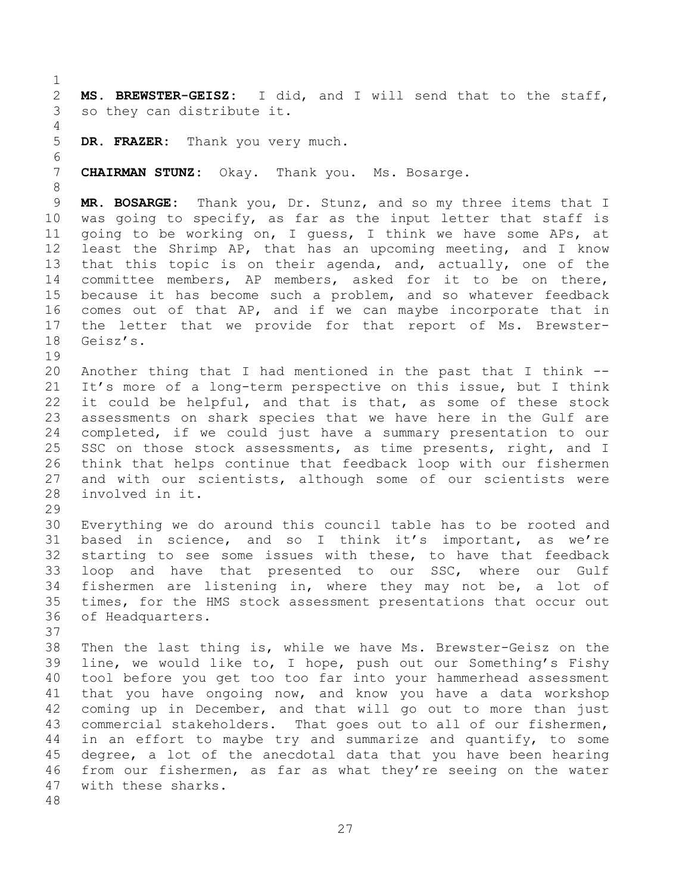**MS. BREWSTER-GEISZ:** I did, and I will send that to the staff, so they can distribute it. **DR. FRAZER:** Thank you very much. **CHAIRMAN STUNZ:** Okay. Thank you. Ms. Bosarge. **MR. BOSARGE:** Thank you, Dr. Stunz, and so my three items that I was going to specify, as far as the input letter that staff is going to be working on, I guess, I think we have some APs, at least the Shrimp AP, that has an upcoming meeting, and I know that this topic is on their agenda, and, actually, one of the committee members, AP members, asked for it to be on there, because it has become such a problem, and so whatever feedback comes out of that AP, and if we can maybe incorporate that in the letter that we provide for that report of Ms. Brewster- Geisz's. Another thing that I had mentioned in the past that I think -- It's more of a long-term perspective on this issue, but I think it could be helpful, and that is that, as some of these stock assessments on shark species that we have here in the Gulf are completed, if we could just have a summary presentation to our 25 SSC on those stock assessments, as time presents, right, and I think that helps continue that feedback loop with our fishermen and with our scientists, although some of our scientists were involved in it. Everything we do around this council table has to be rooted and based in science, and so I think it's important, as we're starting to see some issues with these, to have that feedback loop and have that presented to our SSC, where our Gulf fishermen are listening in, where they may not be, a lot of times, for the HMS stock assessment presentations that occur out of Headquarters. Then the last thing is, while we have Ms. Brewster-Geisz on the line, we would like to, I hope, push out our Something's Fishy tool before you get too too far into your hammerhead assessment that you have ongoing now, and know you have a data workshop coming up in December, and that will go out to more than just commercial stakeholders. That goes out to all of our fishermen, in an effort to maybe try and summarize and quantify, to some degree, a lot of the anecdotal data that you have been hearing from our fishermen, as far as what they're seeing on the water with these sharks.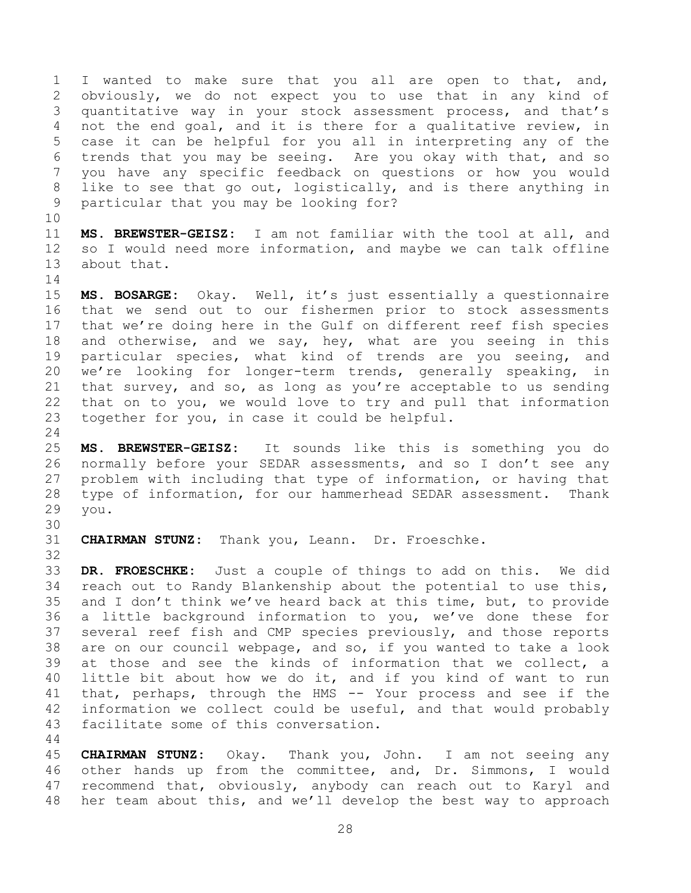I wanted to make sure that you all are open to that, and, obviously, we do not expect you to use that in any kind of quantitative way in your stock assessment process, and that's not the end goal, and it is there for a qualitative review, in case it can be helpful for you all in interpreting any of the trends that you may be seeing. Are you okay with that, and so you have any specific feedback on questions or how you would like to see that go out, logistically, and is there anything in particular that you may be looking for?

 **MS. BREWSTER-GEISZ:** I am not familiar with the tool at all, and so I would need more information, and maybe we can talk offline about that. 

 **MS. BOSARGE:** Okay. Well, it's just essentially a questionnaire that we send out to our fishermen prior to stock assessments that we're doing here in the Gulf on different reef fish species 18 and otherwise, and we say, hey, what are you seeing in this particular species, what kind of trends are you seeing, and we're looking for longer-term trends, generally speaking, in that survey, and so, as long as you're acceptable to us sending that on to you, we would love to try and pull that information together for you, in case it could be helpful.

 **MS. BREWSTER-GEISZ:** It sounds like this is something you do normally before your SEDAR assessments, and so I don't see any problem with including that type of information, or having that type of information, for our hammerhead SEDAR assessment. Thank you.

**CHAIRMAN STUNZ:** Thank you, Leann. Dr. Froeschke.

 **DR. FROESCHKE:** Just a couple of things to add on this. We did reach out to Randy Blankenship about the potential to use this, and I don't think we've heard back at this time, but, to provide a little background information to you, we've done these for several reef fish and CMP species previously, and those reports are on our council webpage, and so, if you wanted to take a look at those and see the kinds of information that we collect, a little bit about how we do it, and if you kind of want to run that, perhaps, through the HMS -- Your process and see if the information we collect could be useful, and that would probably facilitate some of this conversation.

 **CHAIRMAN STUNZ:** Okay. Thank you, John. I am not seeing any other hands up from the committee, and, Dr. Simmons, I would recommend that, obviously, anybody can reach out to Karyl and her team about this, and we'll develop the best way to approach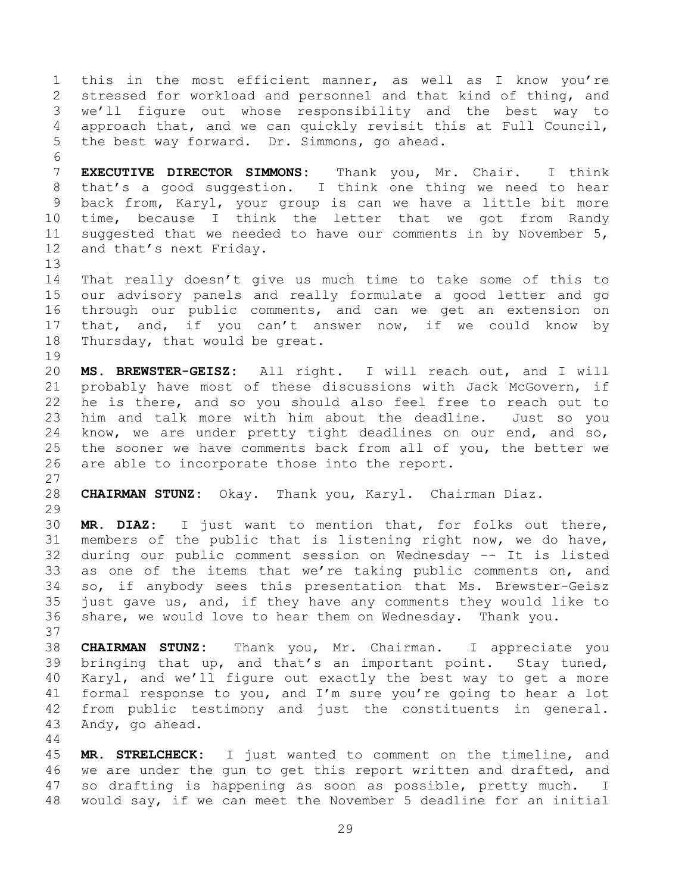this in the most efficient manner, as well as I know you're stressed for workload and personnel and that kind of thing, and we'll figure out whose responsibility and the best way to approach that, and we can quickly revisit this at Full Council, the best way forward. Dr. Simmons, go ahead. **EXECUTIVE DIRECTOR SIMMONS:** Thank you, Mr. Chair. I think that's a good suggestion. I think one thing we need to hear back from, Karyl, your group is can we have a little bit more time, because I think the letter that we got from Randy suggested that we needed to have our comments in by November 5, and that's next Friday. That really doesn't give us much time to take some of this to our advisory panels and really formulate a good letter and go through our public comments, and can we get an extension on that, and, if you can't answer now, if we could know by Thursday, that would be great. **MS. BREWSTER-GEISZ:** All right. I will reach out, and I will probably have most of these discussions with Jack McGovern, if he is there, and so you should also feel free to reach out to him and talk more with him about the deadline. Just so you know, we are under pretty tight deadlines on our end, and so, the sooner we have comments back from all of you, the better we are able to incorporate those into the report. **CHAIRMAN STUNZ:** Okay. Thank you, Karyl. Chairman Diaz. **MR. DIAZ:** I just want to mention that, for folks out there, members of the public that is listening right now, we do have, during our public comment session on Wednesday -- It is listed as one of the items that we're taking public comments on, and so, if anybody sees this presentation that Ms. Brewster-Geisz just gave us, and, if they have any comments they would like to share, we would love to hear them on Wednesday. Thank you. **CHAIRMAN STUNZ:** Thank you, Mr. Chairman. I appreciate you bringing that up, and that's an important point. Stay tuned, Karyl, and we'll figure out exactly the best way to get a more formal response to you, and I'm sure you're going to hear a lot from public testimony and just the constituents in general. Andy, go ahead.

 **MR. STRELCHECK:** I just wanted to comment on the timeline, and we are under the gun to get this report written and drafted, and so drafting is happening as soon as possible, pretty much. I would say, if we can meet the November 5 deadline for an initial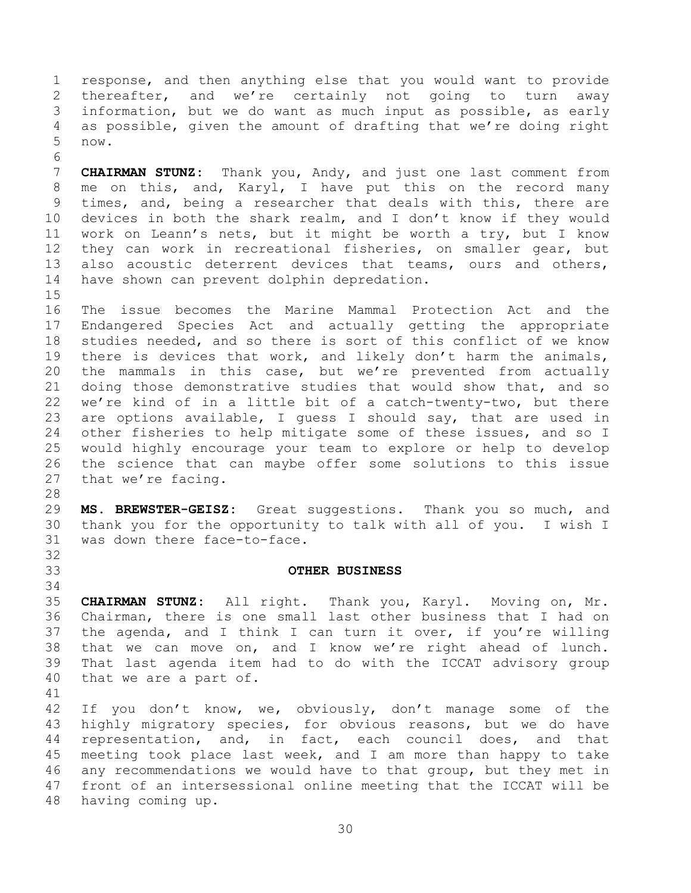response, and then anything else that you would want to provide thereafter, and we're certainly not going to turn away information, but we do want as much input as possible, as early as possible, given the amount of drafting that we're doing right now.

 **CHAIRMAN STUNZ:** Thank you, Andy, and just one last comment from me on this, and, Karyl, I have put this on the record many times, and, being a researcher that deals with this, there are devices in both the shark realm, and I don't know if they would work on Leann's nets, but it might be worth a try, but I know they can work in recreational fisheries, on smaller gear, but also acoustic deterrent devices that teams, ours and others, have shown can prevent dolphin depredation.

 The issue becomes the Marine Mammal Protection Act and the Endangered Species Act and actually getting the appropriate studies needed, and so there is sort of this conflict of we know there is devices that work, and likely don't harm the animals, the mammals in this case, but we're prevented from actually doing those demonstrative studies that would show that, and so we're kind of in a little bit of a catch-twenty-two, but there are options available, I guess I should say, that are used in other fisheries to help mitigate some of these issues, and so I would highly encourage your team to explore or help to develop the science that can maybe offer some solutions to this issue that we're facing.

 **MS. BREWSTER-GEISZ:** Great suggestions. Thank you so much, and thank you for the opportunity to talk with all of you. I wish I was down there face-to-face.

## <span id="page-29-0"></span>**OTHER BUSINESS**

 **CHAIRMAN STUNZ:** All right. Thank you, Karyl. Moving on, Mr. Chairman, there is one small last other business that I had on the agenda, and I think I can turn it over, if you're willing that we can move on, and I know we're right ahead of lunch. That last agenda item had to do with the ICCAT advisory group that we are a part of.

 If you don't know, we, obviously, don't manage some of the highly migratory species, for obvious reasons, but we do have representation, and, in fact, each council does, and that meeting took place last week, and I am more than happy to take any recommendations we would have to that group, but they met in front of an intersessional online meeting that the ICCAT will be having coming up.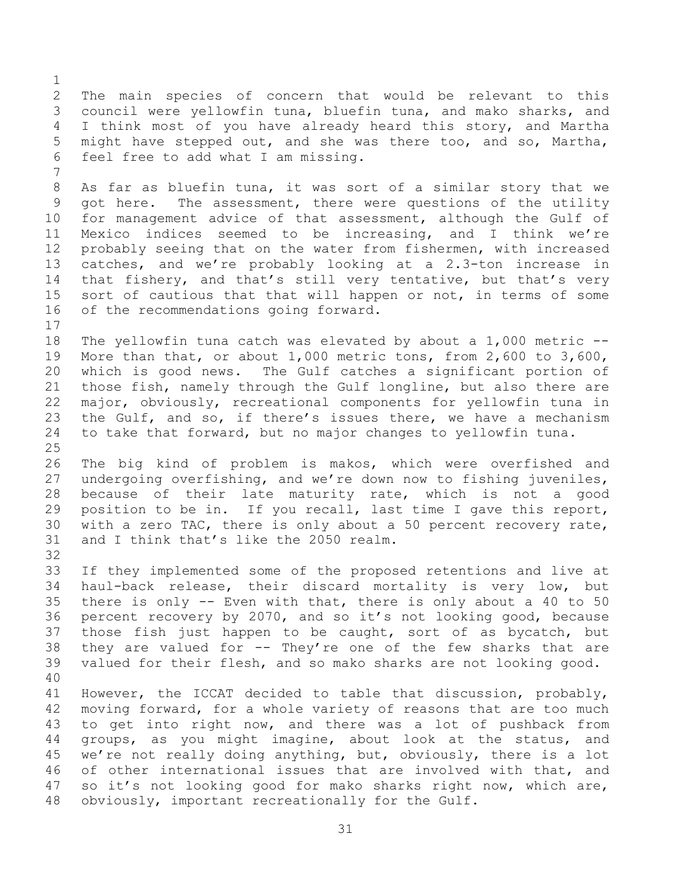The main species of concern that would be relevant to this council were yellowfin tuna, bluefin tuna, and mako sharks, and I think most of you have already heard this story, and Martha might have stepped out, and she was there too, and so, Martha, feel free to add what I am missing.

 As far as bluefin tuna, it was sort of a similar story that we got here. The assessment, there were questions of the utility for management advice of that assessment, although the Gulf of Mexico indices seemed to be increasing, and I think we're probably seeing that on the water from fishermen, with increased catches, and we're probably looking at a 2.3-ton increase in 14 that fishery, and that's still very tentative, but that's very 15 sort of cautious that that will happen or not, in terms of some of the recommendations going forward.

 The yellowfin tuna catch was elevated by about a 1,000 metric -- More than that, or about 1,000 metric tons, from 2,600 to 3,600, which is good news. The Gulf catches a significant portion of those fish, namely through the Gulf longline, but also there are major, obviously, recreational components for yellowfin tuna in the Gulf, and so, if there's issues there, we have a mechanism to take that forward, but no major changes to yellowfin tuna. 

 The big kind of problem is makos, which were overfished and undergoing overfishing, and we're down now to fishing juveniles, because of their late maturity rate, which is not a good position to be in. If you recall, last time I gave this report, with a zero TAC, there is only about a 50 percent recovery rate, and I think that's like the 2050 realm.

 If they implemented some of the proposed retentions and live at haul-back release, their discard mortality is very low, but there is only -- Even with that, there is only about a 40 to 50 percent recovery by 2070, and so it's not looking good, because those fish just happen to be caught, sort of as bycatch, but they are valued for -- They're one of the few sharks that are valued for their flesh, and so mako sharks are not looking good.

 However, the ICCAT decided to table that discussion, probably, moving forward, for a whole variety of reasons that are too much to get into right now, and there was a lot of pushback from groups, as you might imagine, about look at the status, and we're not really doing anything, but, obviously, there is a lot of other international issues that are involved with that, and so it's not looking good for mako sharks right now, which are, obviously, important recreationally for the Gulf.